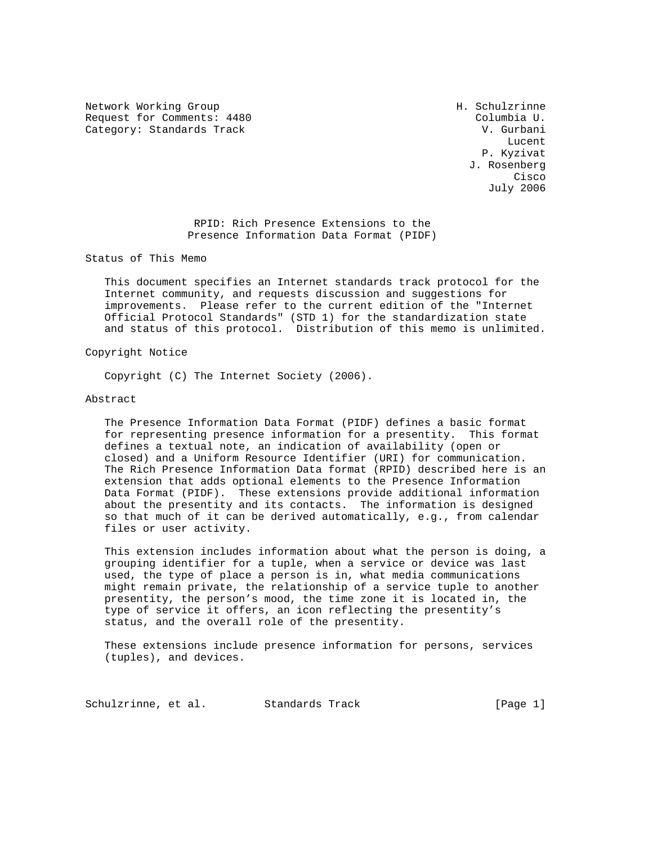Network Working Group Network Morking Group H. Schulzrinne Request for Comments: 4480 Columbia U. Category: Standards Track V. Gurbani

**Lucent** (2001) 2012 12:30 the control of the control of the control of the control of the control of the control of the control of the control of the control of the control of the control of the control of the control of P. Kyzivat J. Rosenberg **Cisco de la contrata de la contrata de la contrata de la contrata de la contrata de la contrata de la contrat** July 2006

> RPID: Rich Presence Extensions to the Presence Information Data Format (PIDF)

Status of This Memo

 This document specifies an Internet standards track protocol for the Internet community, and requests discussion and suggestions for improvements. Please refer to the current edition of the "Internet Official Protocol Standards" (STD 1) for the standardization state and status of this protocol. Distribution of this memo is unlimited.

## Copyright Notice

Copyright (C) The Internet Society (2006).

## Abstract

 The Presence Information Data Format (PIDF) defines a basic format for representing presence information for a presentity. This format defines a textual note, an indication of availability (open or closed) and a Uniform Resource Identifier (URI) for communication. The Rich Presence Information Data format (RPID) described here is an extension that adds optional elements to the Presence Information Data Format (PIDF). These extensions provide additional information about the presentity and its contacts. The information is designed so that much of it can be derived automatically, e.g., from calendar files or user activity.

 This extension includes information about what the person is doing, a grouping identifier for a tuple, when a service or device was last used, the type of place a person is in, what media communications might remain private, the relationship of a service tuple to another presentity, the person's mood, the time zone it is located in, the type of service it offers, an icon reflecting the presentity's status, and the overall role of the presentity.

 These extensions include presence information for persons, services (tuples), and devices.

Schulzrinne, et al. Standards Track [Page 1]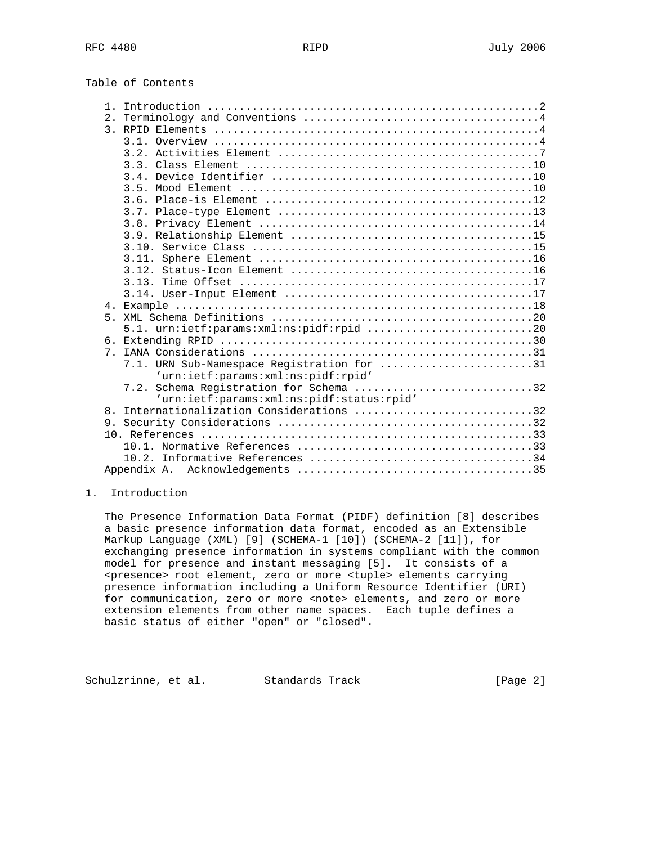| Table of Contents |  |
|-------------------|--|
|-------------------|--|

| $\mathbf{1}$ |                                            |
|--------------|--------------------------------------------|
| 2.1          |                                            |
|              |                                            |
|              |                                            |
|              |                                            |
|              |                                            |
|              |                                            |
|              |                                            |
|              |                                            |
|              |                                            |
|              |                                            |
|              |                                            |
|              |                                            |
|              |                                            |
|              |                                            |
|              |                                            |
|              |                                            |
|              |                                            |
|              |                                            |
|              | 5.1. urn:ietf:params:xml:ns:pidf:rpid 20   |
|              |                                            |
| $7$ .        |                                            |
|              | 7.1. URN Sub-Namespace Registration for 31 |
|              | 'urn:ietf:params:xml:ns:pidf:rpid'         |
|              | 7.2. Schema Registration for Schema 32     |
|              | 'urn:ietf:params:xml:ns:pidf:status:rpid'  |
| 8            | Internationalization Considerations 32     |
|              |                                            |
|              |                                            |
|              |                                            |
|              | 10.2. Informative References 34            |
|              |                                            |

# 1. Introduction

 The Presence Information Data Format (PIDF) definition [8] describes a basic presence information data format, encoded as an Extensible Markup Language (XML) [9] (SCHEMA-1 [10]) (SCHEMA-2 [11]), for exchanging presence information in systems compliant with the common model for presence and instant messaging [5]. It consists of a <presence> root element, zero or more <tuple> elements carrying presence information including a Uniform Resource Identifier (URI) for communication, zero or more <note> elements, and zero or more extension elements from other name spaces. Each tuple defines a basic status of either "open" or "closed".

Schulzrinne, et al. Standards Track [Page 2]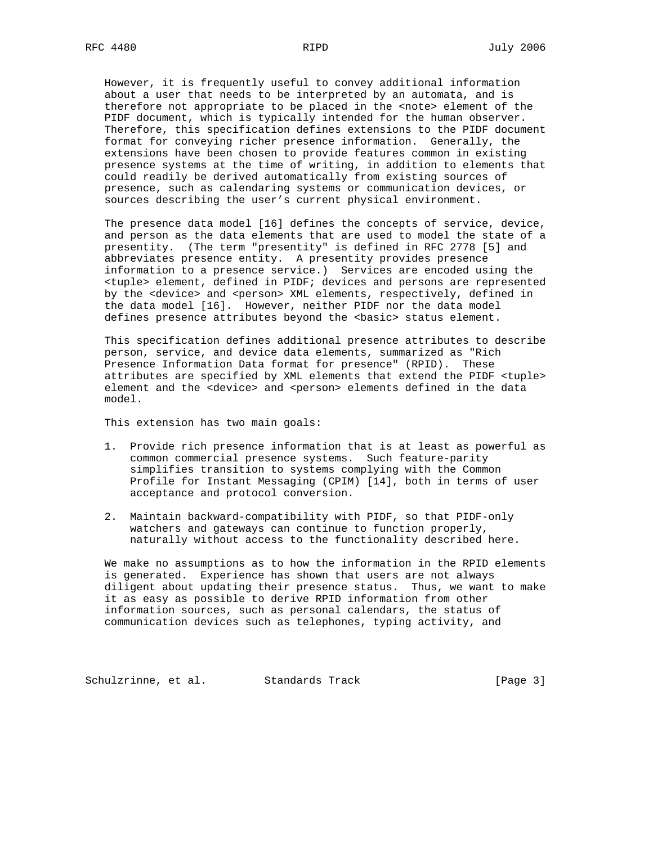However, it is frequently useful to convey additional information about a user that needs to be interpreted by an automata, and is therefore not appropriate to be placed in the <note> element of the PIDF document, which is typically intended for the human observer. Therefore, this specification defines extensions to the PIDF document format for conveying richer presence information. Generally, the extensions have been chosen to provide features common in existing presence systems at the time of writing, in addition to elements that could readily be derived automatically from existing sources of presence, such as calendaring systems or communication devices, or sources describing the user's current physical environment.

 The presence data model [16] defines the concepts of service, device, and person as the data elements that are used to model the state of a presentity. (The term "presentity" is defined in RFC 2778 [5] and abbreviates presence entity. A presentity provides presence information to a presence service.) Services are encoded using the <tuple> element, defined in PIDF; devices and persons are represented by the <device> and <person> XML elements, respectively, defined in the data model [16]. However, neither PIDF nor the data model defines presence attributes beyond the <br/>basic> status element.

 This specification defines additional presence attributes to describe person, service, and device data elements, summarized as "Rich Presence Information Data format for presence" (RPID). These attributes are specified by XML elements that extend the PIDF <tuple> element and the <device> and <person> elements defined in the data model.

This extension has two main goals:

- 1. Provide rich presence information that is at least as powerful as common commercial presence systems. Such feature-parity simplifies transition to systems complying with the Common Profile for Instant Messaging (CPIM) [14], both in terms of user acceptance and protocol conversion.
- 2. Maintain backward-compatibility with PIDF, so that PIDF-only watchers and gateways can continue to function properly, naturally without access to the functionality described here.

 We make no assumptions as to how the information in the RPID elements is generated. Experience has shown that users are not always diligent about updating their presence status. Thus, we want to make it as easy as possible to derive RPID information from other information sources, such as personal calendars, the status of communication devices such as telephones, typing activity, and

Schulzrinne, et al. Standards Track [Page 3]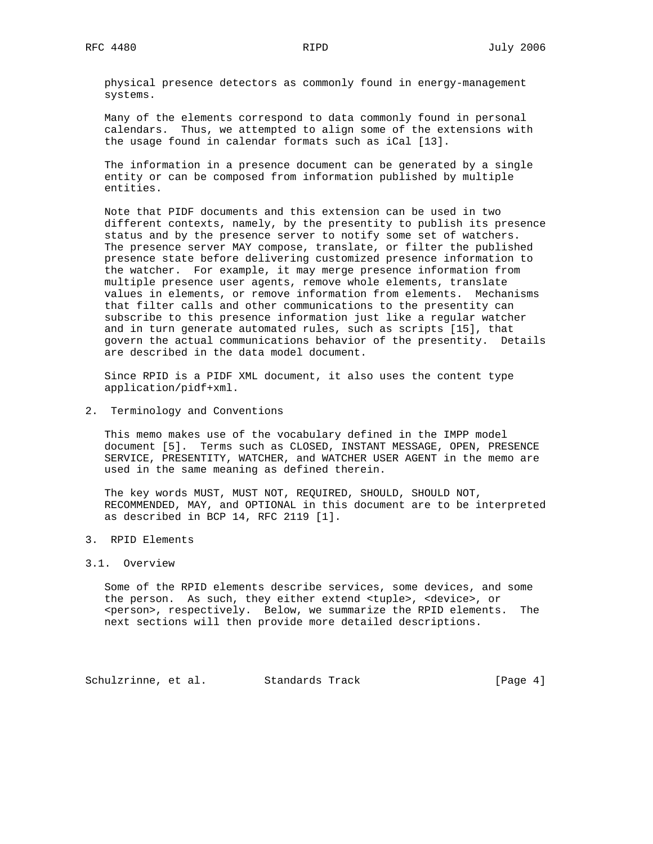physical presence detectors as commonly found in energy-management systems.

 Many of the elements correspond to data commonly found in personal calendars. Thus, we attempted to align some of the extensions with the usage found in calendar formats such as iCal [13].

 The information in a presence document can be generated by a single entity or can be composed from information published by multiple entities.

 Note that PIDF documents and this extension can be used in two different contexts, namely, by the presentity to publish its presence status and by the presence server to notify some set of watchers. The presence server MAY compose, translate, or filter the published presence state before delivering customized presence information to the watcher. For example, it may merge presence information from multiple presence user agents, remove whole elements, translate values in elements, or remove information from elements. Mechanisms that filter calls and other communications to the presentity can subscribe to this presence information just like a regular watcher and in turn generate automated rules, such as scripts [15], that govern the actual communications behavior of the presentity. Details are described in the data model document.

 Since RPID is a PIDF XML document, it also uses the content type application/pidf+xml.

2. Terminology and Conventions

 This memo makes use of the vocabulary defined in the IMPP model document [5]. Terms such as CLOSED, INSTANT MESSAGE, OPEN, PRESENCE SERVICE, PRESENTITY, WATCHER, and WATCHER USER AGENT in the memo are used in the same meaning as defined therein.

 The key words MUST, MUST NOT, REQUIRED, SHOULD, SHOULD NOT, RECOMMENDED, MAY, and OPTIONAL in this document are to be interpreted as described in BCP 14, RFC 2119 [1].

3. RPID Elements

## 3.1. Overview

 Some of the RPID elements describe services, some devices, and some the person. As such, they either extend <tuple>, <device>, or <person>, respectively. Below, we summarize the RPID elements. The next sections will then provide more detailed descriptions.

Schulzrinne, et al. Standards Track [Page 4]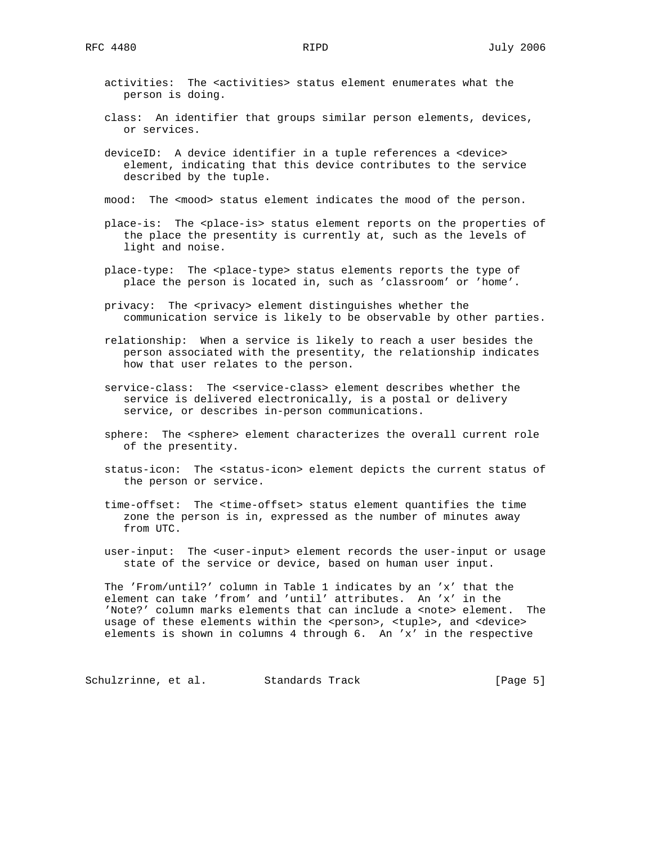- activities: The <activities> status element enumerates what the person is doing.
- class: An identifier that groups similar person elements, devices, or services.
- deviceID: A device identifier in a tuple references a <device> element, indicating that this device contributes to the service described by the tuple.
- mood: The <mood> status element indicates the mood of the person.
- place-is: The <place-is> status element reports on the properties of the place the presentity is currently at, such as the levels of light and noise.
- place-type: The <place-type> status elements reports the type of place the person is located in, such as 'classroom' or 'home'.
- privacy: The <privacy> element distinguishes whether the communication service is likely to be observable by other parties.
- relationship: When a service is likely to reach a user besides the person associated with the presentity, the relationship indicates how that user relates to the person.
- service-class: The <service-class> element describes whether the service is delivered electronically, is a postal or delivery service, or describes in-person communications.
- sphere: The <sphere> element characterizes the overall current role of the presentity.
- status-icon: The <status-icon> element depicts the current status of the person or service.
- time-offset: The <time-offset> status element quantifies the time zone the person is in, expressed as the number of minutes away from UTC.
- user-input: The <user-input> element records the user-input or usage state of the service or device, based on human user input.

 The 'From/until?' column in Table 1 indicates by an 'x' that the element can take 'from' and 'until' attributes. An 'x' in the 'Note?' column marks elements that can include a <note> element. The usage of these elements within the <person>, <tuple>, and <device> elements is shown in columns 4 through 6. An 'x' in the respective

Schulzrinne, et al. Standards Track [Page 5]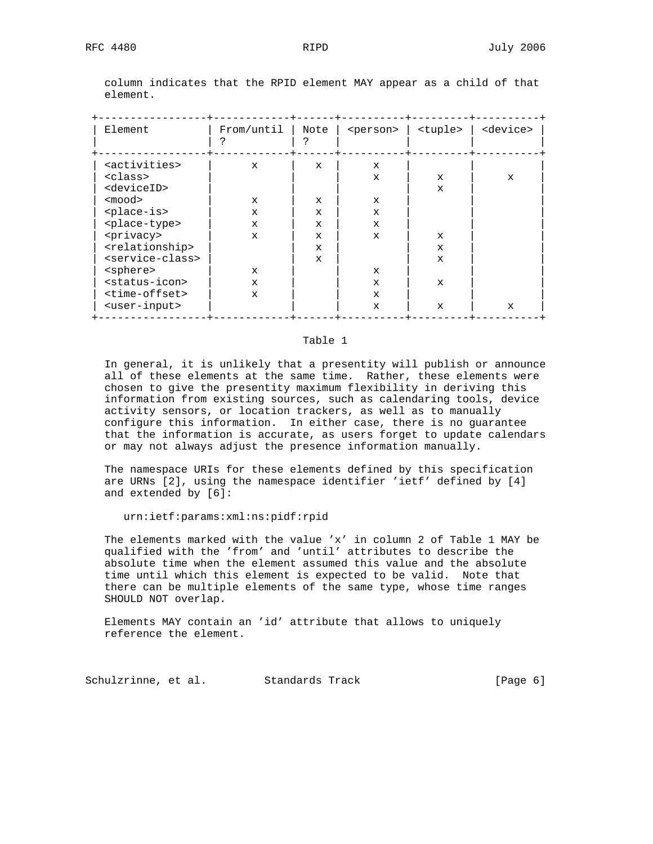| Element                         | From/until   | Note         | <person></person> | <tuple></tuple> | <device></device> |
|---------------------------------|--------------|--------------|-------------------|-----------------|-------------------|
| <activities></activities>       | $\mathbf x$  | $\mathbf x$  | $\mathbf x$       |                 |                   |
| <class></class>                 |              |              | $\mathbf x$       | $\mathbf x$     | $\mathbf x$       |
| <deviceid></deviceid>           |              |              |                   | $\mathbf x$     |                   |
| <mood></mood>                   | $\mathbf x$  | X            | $\mathbf x$       |                 |                   |
| <place-is></place-is>           | $\mathbf{x}$ | $\mathbf x$  | $\mathbf x$       |                 |                   |
| <place-type></place-type>       | $\mathbf{x}$ | $\mathbf{x}$ | $\mathbf{x}$      |                 |                   |
| <privacy></privacy>             | $\mathbf{x}$ | $\mathbf{x}$ | $\mathbf{x}$      | $\mathbf{x}$    |                   |
| <relationship></relationship>   |              | $\mathbf x$  |                   | $\mathbf x$     |                   |
| <service-class></service-class> |              | $\mathbf{x}$ |                   | $\mathbf{x}$    |                   |
| <sphere></sphere>               | $\mathbf{x}$ |              | X                 |                 |                   |
| <status-icon></status-icon>     | $\mathbf{x}$ |              | $\mathbf x$       | $\mathbf{x}$    |                   |
| <time-offset></time-offset>     | $\mathbf{x}$ |              | $\mathbf{x}$      |                 |                   |
| <user-input></user-input>       |              |              | $\mathbf x$       | X               | $\mathbf{x}$      |
|                                 |              |              |                   |                 |                   |

 column indicates that the RPID element MAY appear as a child of that element.

## Table 1

 In general, it is unlikely that a presentity will publish or announce all of these elements at the same time. Rather, these elements were chosen to give the presentity maximum flexibility in deriving this information from existing sources, such as calendaring tools, device activity sensors, or location trackers, as well as to manually configure this information. In either case, there is no guarantee that the information is accurate, as users forget to update calendars or may not always adjust the presence information manually.

 The namespace URIs for these elements defined by this specification are URNs [2], using the namespace identifier 'ietf' defined by [4] and extended by [6]:

### urn:ietf:params:xml:ns:pidf:rpid

 The elements marked with the value 'x' in column 2 of Table 1 MAY be qualified with the 'from' and 'until' attributes to describe the absolute time when the element assumed this value and the absolute time until which this element is expected to be valid. Note that there can be multiple elements of the same type, whose time ranges SHOULD NOT overlap.

 Elements MAY contain an 'id' attribute that allows to uniquely reference the element.

Schulzrinne, et al. Standards Track [Page 6]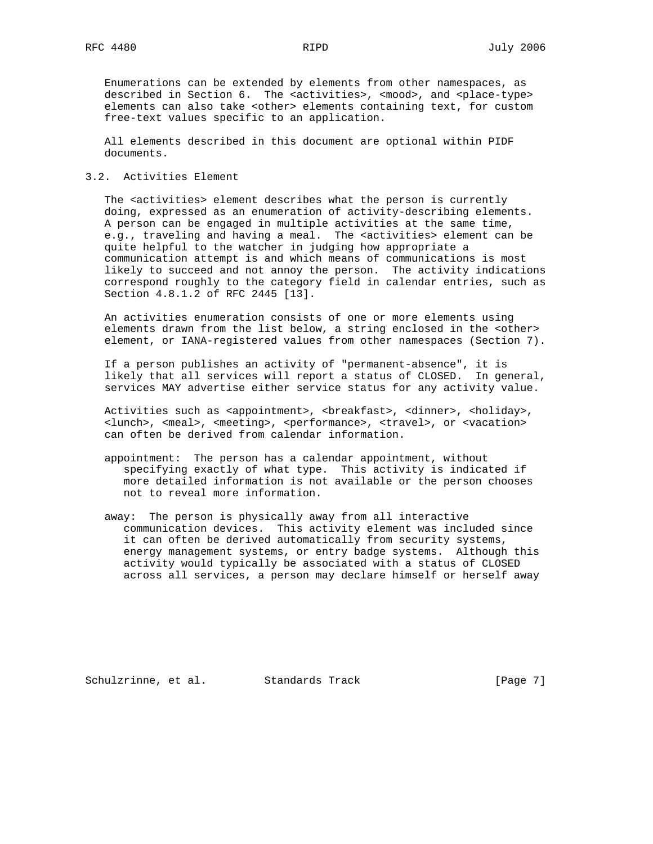Enumerations can be extended by elements from other namespaces, as described in Section 6. The <activities>, <mood>, and <place-type> elements can also take <other> elements containing text, for custom free-text values specific to an application.

 All elements described in this document are optional within PIDF documents.

## 3.2. Activities Element

 The <activities> element describes what the person is currently doing, expressed as an enumeration of activity-describing elements. A person can be engaged in multiple activities at the same time, e.g., traveling and having a meal. The <activities> element can be quite helpful to the watcher in judging how appropriate a communication attempt is and which means of communications is most likely to succeed and not annoy the person. The activity indications correspond roughly to the category field in calendar entries, such as Section 4.8.1.2 of RFC 2445 [13].

 An activities enumeration consists of one or more elements using elements drawn from the list below, a string enclosed in the <other> element, or IANA-registered values from other namespaces (Section 7).

 If a person publishes an activity of "permanent-absence", it is likely that all services will report a status of CLOSED. In general, services MAY advertise either service status for any activity value.

Activities such as <appointment>, <br/> <br/> <br/> <br/> <br/> <br/>dinner>, <br/> <holiday>, <lunch>, <meal>, <meeting>, <performance>, <travel>, or <vacation> can often be derived from calendar information.

- appointment: The person has a calendar appointment, without specifying exactly of what type. This activity is indicated if more detailed information is not available or the person chooses not to reveal more information.
- away: The person is physically away from all interactive communication devices. This activity element was included since it can often be derived automatically from security systems, energy management systems, or entry badge systems. Although this activity would typically be associated with a status of CLOSED across all services, a person may declare himself or herself away

Schulzrinne, et al. Standards Track [Page 7]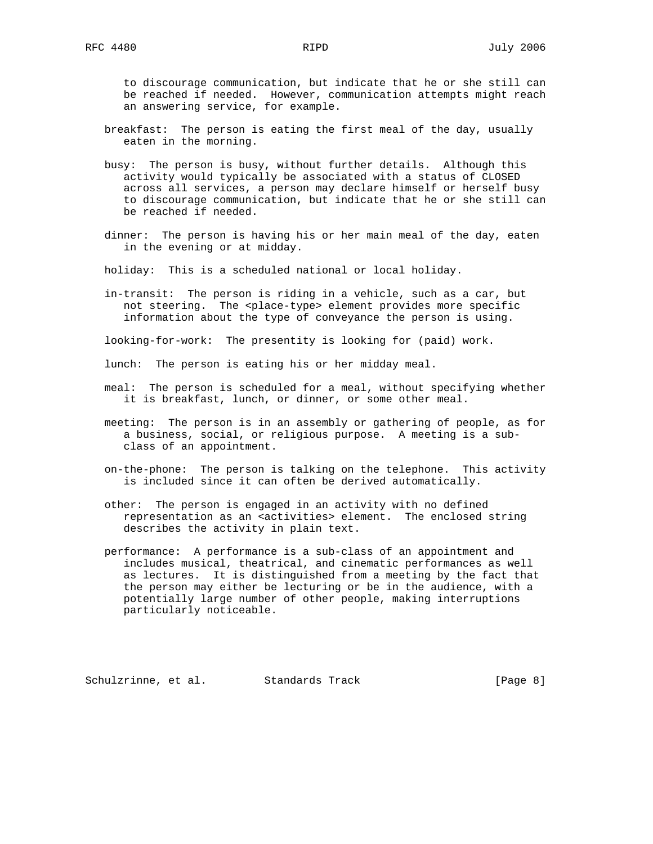to discourage communication, but indicate that he or she still can be reached if needed. However, communication attempts might reach an answering service, for example.

- breakfast: The person is eating the first meal of the day, usually eaten in the morning.
- busy: The person is busy, without further details. Although this activity would typically be associated with a status of CLOSED across all services, a person may declare himself or herself busy to discourage communication, but indicate that he or she still can be reached if needed.
- dinner: The person is having his or her main meal of the day, eaten in the evening or at midday.
- holiday: This is a scheduled national or local holiday.
- in-transit: The person is riding in a vehicle, such as a car, but not steering. The <place-type> element provides more specific information about the type of conveyance the person is using.

looking-for-work: The presentity is looking for (paid) work.

lunch: The person is eating his or her midday meal.

- meal: The person is scheduled for a meal, without specifying whether it is breakfast, lunch, or dinner, or some other meal.
- meeting: The person is in an assembly or gathering of people, as for a business, social, or religious purpose. A meeting is a sub class of an appointment.
- on-the-phone: The person is talking on the telephone. This activity is included since it can often be derived automatically.
- other: The person is engaged in an activity with no defined representation as an <activities> element. The enclosed string describes the activity in plain text.
- performance: A performance is a sub-class of an appointment and includes musical, theatrical, and cinematic performances as well as lectures. It is distinguished from a meeting by the fact that the person may either be lecturing or be in the audience, with a potentially large number of other people, making interruptions particularly noticeable.

Schulzrinne, et al. Standards Track [Page 8]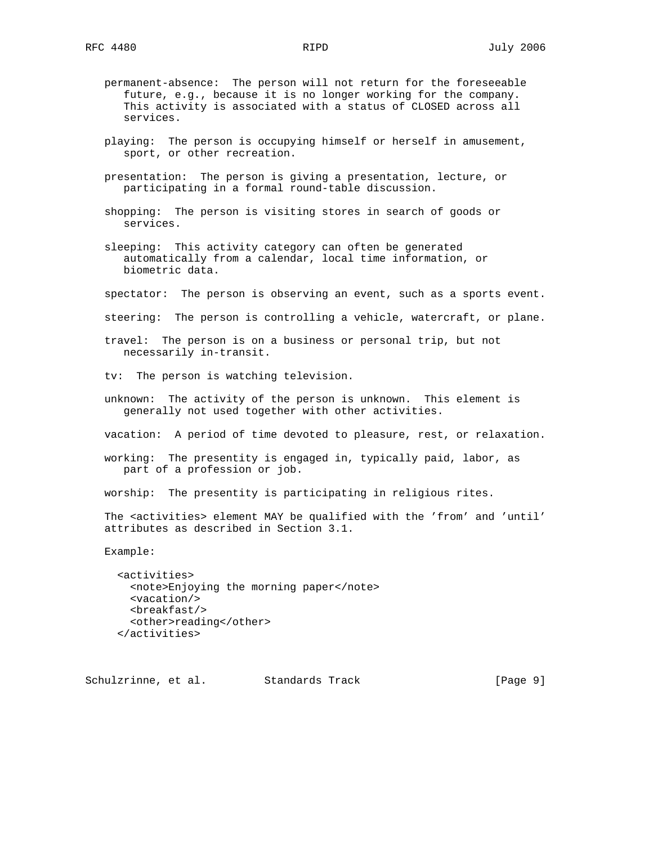- permanent-absence: The person will not return for the foreseeable future, e.g., because it is no longer working for the company. This activity is associated with a status of CLOSED across all services.
- playing: The person is occupying himself or herself in amusement, sport, or other recreation.
- presentation: The person is giving a presentation, lecture, or participating in a formal round-table discussion.
- shopping: The person is visiting stores in search of goods or services.
- sleeping: This activity category can often be generated automatically from a calendar, local time information, or biometric data.
- spectator: The person is observing an event, such as a sports event.
- steering: The person is controlling a vehicle, watercraft, or plane.
- travel: The person is on a business or personal trip, but not necessarily in-transit.
- tv: The person is watching television.
- unknown: The activity of the person is unknown. This element is generally not used together with other activities.
- vacation: A period of time devoted to pleasure, rest, or relaxation.
- working: The presentity is engaged in, typically paid, labor, as part of a profession or job.
- worship: The presentity is participating in religious rites.
- The <activities> element MAY be qualified with the 'from' and 'until' attributes as described in Section 3.1.
- Example:

 <activities> <note>Enjoying the morning paper</note> <vacation/> <breakfast/> <other>reading</other> </activities>

Schulzrinne, et al. Standards Track [Page 9]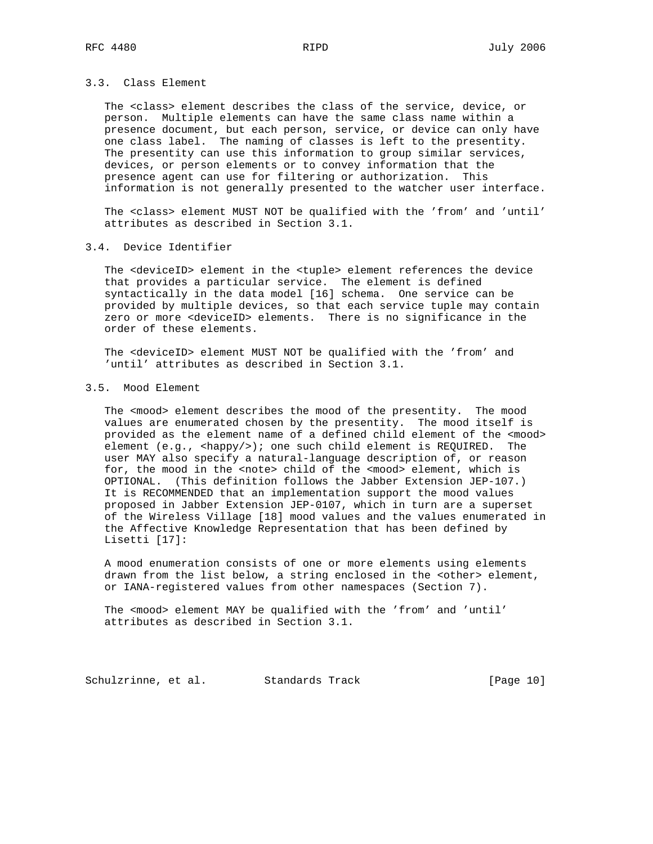# 3.3. Class Element

 The <class> element describes the class of the service, device, or person. Multiple elements can have the same class name within a presence document, but each person, service, or device can only have one class label. The naming of classes is left to the presentity. The presentity can use this information to group similar services, devices, or person elements or to convey information that the presence agent can use for filtering or authorization. This information is not generally presented to the watcher user interface.

 The <class> element MUST NOT be qualified with the 'from' and 'until' attributes as described in Section 3.1.

# 3.4. Device Identifier

 The <deviceID> element in the <tuple> element references the device that provides a particular service. The element is defined syntactically in the data model [16] schema. One service can be provided by multiple devices, so that each service tuple may contain zero or more <deviceID> elements. There is no significance in the order of these elements.

 The <deviceID> element MUST NOT be qualified with the 'from' and 'until' attributes as described in Section 3.1.

# 3.5. Mood Element

The <mood> element describes the mood of the presentity. The mood values are enumerated chosen by the presentity. The mood itself is provided as the element name of a defined child element of the <mood> element (e.g., <happy/>); one such child element is REQUIRED. The user MAY also specify a natural-language description of, or reason for, the mood in the <note> child of the <mood> element, which is OPTIONAL. (This definition follows the Jabber Extension JEP-107.) It is RECOMMENDED that an implementation support the mood values proposed in Jabber Extension JEP-0107, which in turn are a superset of the Wireless Village [18] mood values and the values enumerated in the Affective Knowledge Representation that has been defined by Lisetti [17]:

 A mood enumeration consists of one or more elements using elements drawn from the list below, a string enclosed in the <other> element, or IANA-registered values from other namespaces (Section 7).

 The <mood> element MAY be qualified with the 'from' and 'until' attributes as described in Section 3.1.

Schulzrinne, et al. Standards Track [Page 10]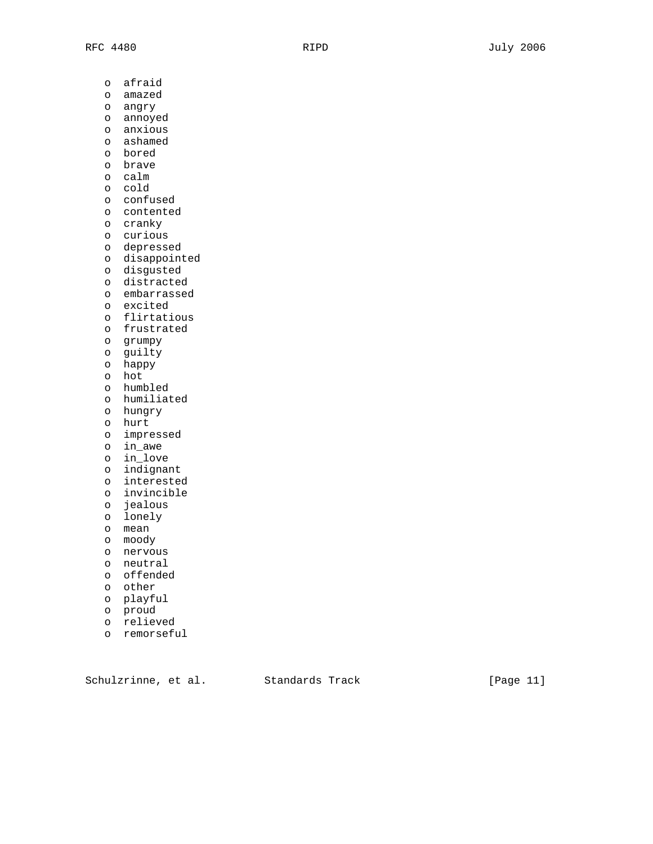o afraid o amazed o angry o annoyed o anxious o ashamed o bored o brave o calm o cold o confused o contented o cranky o curious o depressed o disappointed o disgusted o distracted o embarrassed o excited o flirtatious o frustrated o grumpy o guilty o happy o hot o humbled o humiliated o hungry o hurt o impressed o in\_awe o in\_love o indignant o interested o invincible o jealous o lonely o mean o moody o nervous o neutral o offended

- o other
- o playful
- o proud
- o relieved
- o remorseful

Schulzrinne, et al. Standards Track [Page 11]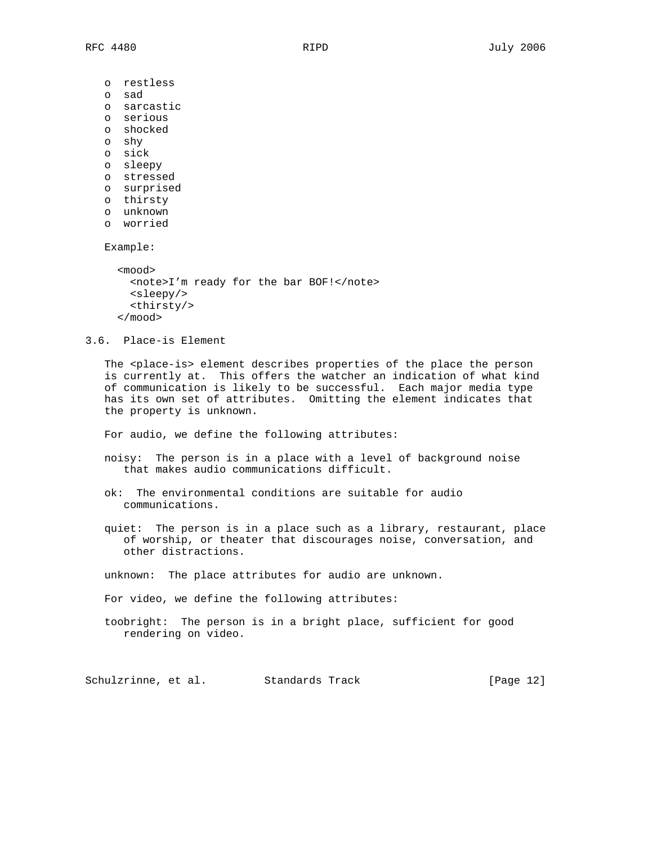o restless

- o sad
- o sarcastic
- o serious
- o shocked
- o shy
- o sick
- o sleepy
- o stressed
- o surprised
- o thirsty
- o unknown
- o worried

Example:

```
 <mood>
 <note>I'm ready for the bar BOF!</note>
 <sleepy/>
  <thirsty/>
</mood>
```
3.6. Place-is Element

The <place-is> element describes properties of the place the person is currently at. This offers the watcher an indication of what kind of communication is likely to be successful. Each major media type has its own set of attributes. Omitting the element indicates that the property is unknown.

For audio, we define the following attributes:

- noisy: The person is in a place with a level of background noise that makes audio communications difficult.
- ok: The environmental conditions are suitable for audio communications.
- quiet: The person is in a place such as a library, restaurant, place of worship, or theater that discourages noise, conversation, and other distractions.

unknown: The place attributes for audio are unknown.

For video, we define the following attributes:

 toobright: The person is in a bright place, sufficient for good rendering on video.

Schulzrinne, et al. Standards Track [Page 12]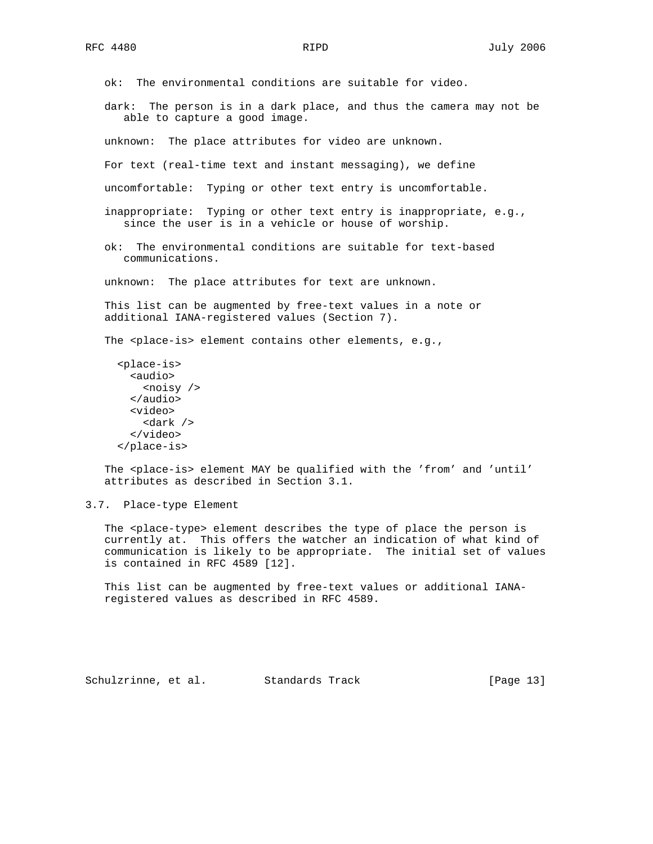ok: The environmental conditions are suitable for video. dark: The person is in a dark place, and thus the camera may not be able to capture a good image. unknown: The place attributes for video are unknown. For text (real-time text and instant messaging), we define uncomfortable: Typing or other text entry is uncomfortable. inappropriate: Typing or other text entry is inappropriate, e.g., since the user is in a vehicle or house of worship. ok: The environmental conditions are suitable for text-based communications. unknown: The place attributes for text are unknown. This list can be augmented by free-text values in a note or additional IANA-registered values (Section 7). The <place-is> element contains other elements, e.g., <place-is> <audio> <noisy /> </audio> <video> <dark /> </video> </place-is> The <place-is> element MAY be qualified with the 'from' and 'until' attributes as described in Section 3.1.

3.7. Place-type Element

The <place-type> element describes the type of place the person is currently at. This offers the watcher an indication of what kind of communication is likely to be appropriate. The initial set of values is contained in RFC 4589 [12].

 This list can be augmented by free-text values or additional IANA registered values as described in RFC 4589.

Schulzrinne, et al. Standards Track [Page 13]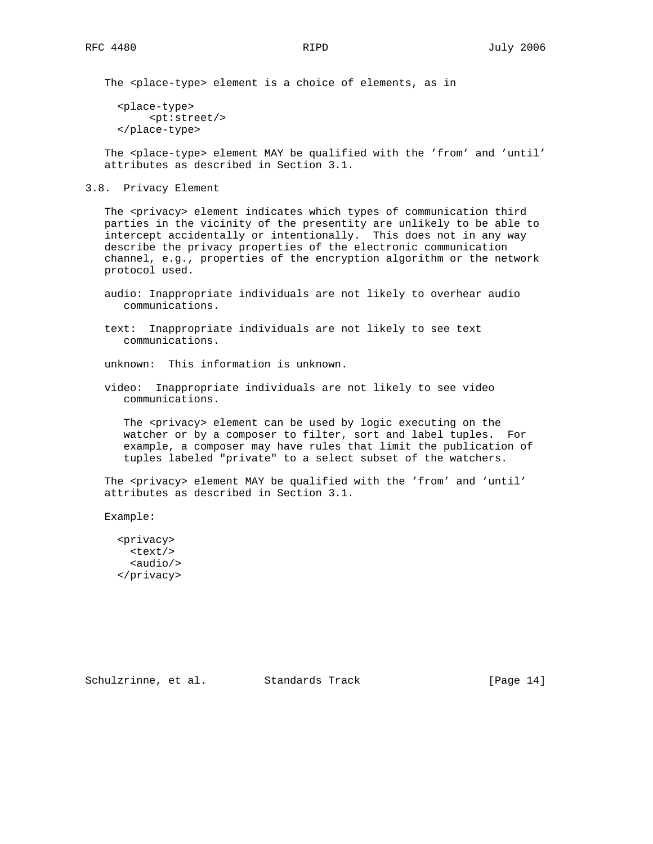The <place-type> element is a choice of elements, as in

 <place-type> <pt:street/> </place-type>

The <place-type> element MAY be qualified with the 'from' and 'until' attributes as described in Section 3.1.

3.8. Privacy Element

The <privacy> element indicates which types of communication third parties in the vicinity of the presentity are unlikely to be able to intercept accidentally or intentionally. This does not in any way describe the privacy properties of the electronic communication channel, e.g., properties of the encryption algorithm or the network protocol used.

- audio: Inappropriate individuals are not likely to overhear audio communications.
- text: Inappropriate individuals are not likely to see text communications.

unknown: This information is unknown.

 video: Inappropriate individuals are not likely to see video communications.

The <privacy> element can be used by logic executing on the watcher or by a composer to filter, sort and label tuples. For example, a composer may have rules that limit the publication of tuples labeled "private" to a select subset of the watchers.

The <privacy> element MAY be qualified with the 'from' and 'until' attributes as described in Section 3.1.

Example:

 <privacy> <text/> <audio/> </privacy>

Schulzrinne, et al. Standards Track [Page 14]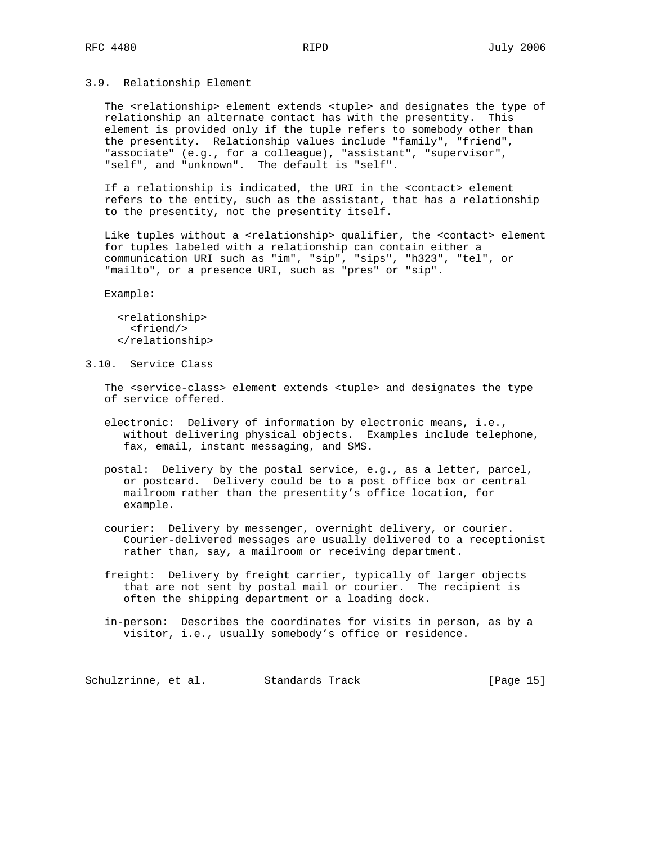### 3.9. Relationship Element

 The <relationship> element extends <tuple> and designates the type of relationship an alternate contact has with the presentity. This element is provided only if the tuple refers to somebody other than the presentity. Relationship values include "family", "friend", "associate" (e.g., for a colleague), "assistant", "supervisor", "self", and "unknown". The default is "self".

 If a relationship is indicated, the URI in the <contact> element refers to the entity, such as the assistant, that has a relationship to the presentity, not the presentity itself.

Like tuples without a <relationship> qualifier, the <contact> element for tuples labeled with a relationship can contain either a communication URI such as "im", "sip", "sips", "h323", "tel", or "mailto", or a presence URI, such as "pres" or "sip".

Example:

 <relationship> <friend/> </relationship>

3.10. Service Class

 The <service-class> element extends <tuple> and designates the type of service offered.

 electronic: Delivery of information by electronic means, i.e., without delivering physical objects. Examples include telephone, fax, email, instant messaging, and SMS.

 postal: Delivery by the postal service, e.g., as a letter, parcel, or postcard. Delivery could be to a post office box or central mailroom rather than the presentity's office location, for example.

- courier: Delivery by messenger, overnight delivery, or courier. Courier-delivered messages are usually delivered to a receptionist rather than, say, a mailroom or receiving department.
- freight: Delivery by freight carrier, typically of larger objects that are not sent by postal mail or courier. The recipient is often the shipping department or a loading dock.
- in-person: Describes the coordinates for visits in person, as by a visitor, i.e., usually somebody's office or residence.

Schulzrinne, et al. Standards Track [Page 15]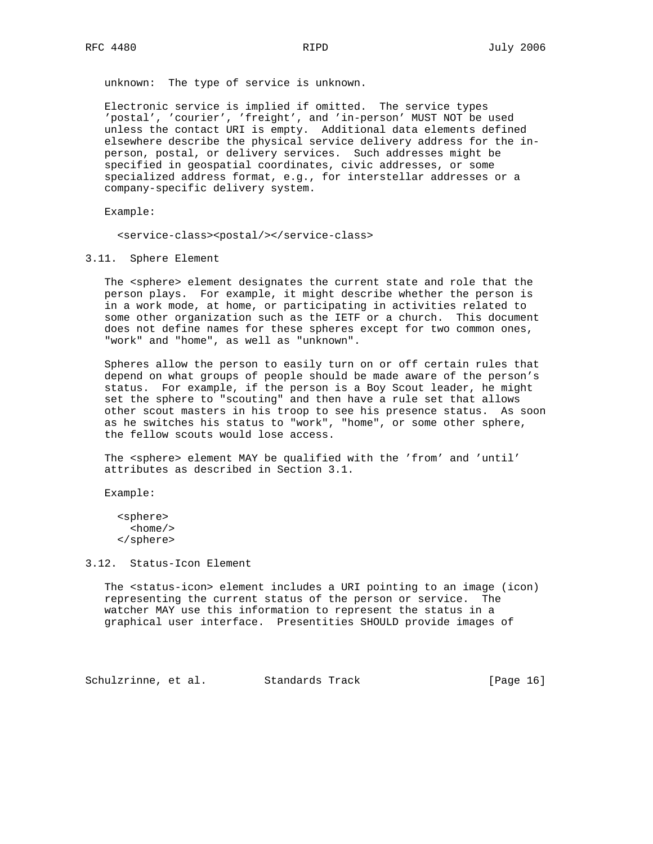unknown: The type of service is unknown.

 Electronic service is implied if omitted. The service types 'postal', 'courier', 'freight', and 'in-person' MUST NOT be used unless the contact URI is empty. Additional data elements defined elsewhere describe the physical service delivery address for the in person, postal, or delivery services. Such addresses might be specified in geospatial coordinates, civic addresses, or some specialized address format, e.g., for interstellar addresses or a company-specific delivery system.

Example:

<service-class><postal/></service-class>

3.11. Sphere Element

The <sphere> element designates the current state and role that the person plays. For example, it might describe whether the person is in a work mode, at home, or participating in activities related to some other organization such as the IETF or a church. This document does not define names for these spheres except for two common ones, "work" and "home", as well as "unknown".

 Spheres allow the person to easily turn on or off certain rules that depend on what groups of people should be made aware of the person's status. For example, if the person is a Boy Scout leader, he might set the sphere to "scouting" and then have a rule set that allows other scout masters in his troop to see his presence status. As soon as he switches his status to "work", "home", or some other sphere, the fellow scouts would lose access.

The <sphere> element MAY be qualified with the 'from' and 'until' attributes as described in Section 3.1.

Example:

 <sphere>  $<$ home $/$ > </sphere>

3.12. Status-Icon Element

 The <status-icon> element includes a URI pointing to an image (icon) representing the current status of the person or service. The watcher MAY use this information to represent the status in a graphical user interface. Presentities SHOULD provide images of

Schulzrinne, et al. Standards Track [Page 16]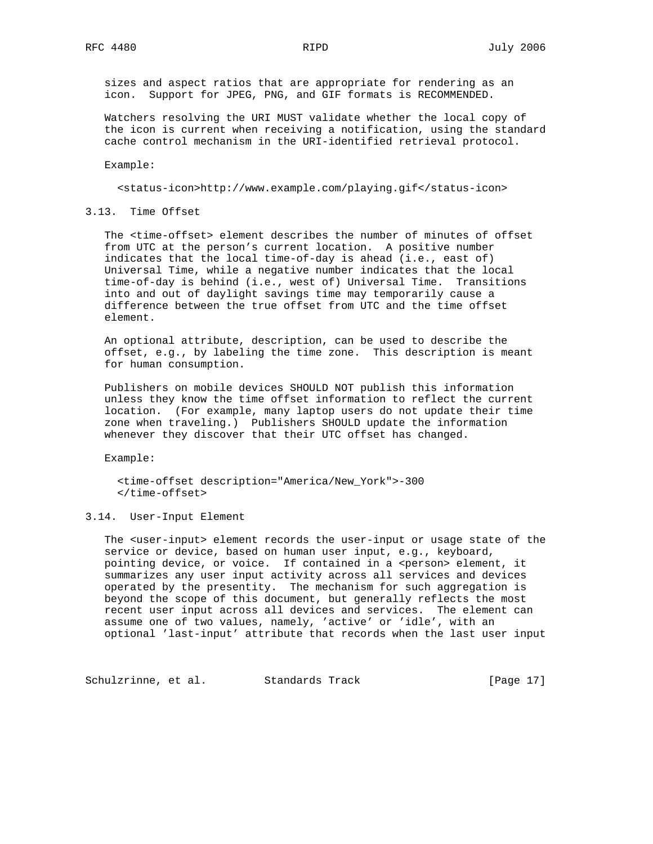sizes and aspect ratios that are appropriate for rendering as an icon. Support for JPEG, PNG, and GIF formats is RECOMMENDED.

 Watchers resolving the URI MUST validate whether the local copy of the icon is current when receiving a notification, using the standard cache control mechanism in the URI-identified retrieval protocol.

Example:

<status-icon>http://www.example.com/playing.gif</status-icon>

3.13. Time Offset

 The <time-offset> element describes the number of minutes of offset from UTC at the person's current location. A positive number indicates that the local time-of-day is ahead (i.e., east of) Universal Time, while a negative number indicates that the local time-of-day is behind (i.e., west of) Universal Time. Transitions into and out of daylight savings time may temporarily cause a difference between the true offset from UTC and the time offset element.

 An optional attribute, description, can be used to describe the offset, e.g., by labeling the time zone. This description is meant for human consumption.

 Publishers on mobile devices SHOULD NOT publish this information unless they know the time offset information to reflect the current location. (For example, many laptop users do not update their time zone when traveling.) Publishers SHOULD update the information whenever they discover that their UTC offset has changed.

Example:

 <time-offset description="America/New\_York">-300 </time-offset>

#### 3.14. User-Input Element

 The <user-input> element records the user-input or usage state of the service or device, based on human user input, e.g., keyboard, pointing device, or voice. If contained in a <person> element, it summarizes any user input activity across all services and devices operated by the presentity. The mechanism for such aggregation is beyond the scope of this document, but generally reflects the most recent user input across all devices and services. The element can assume one of two values, namely, 'active' or 'idle', with an optional 'last-input' attribute that records when the last user input

Schulzrinne, et al. Standards Track [Page 17]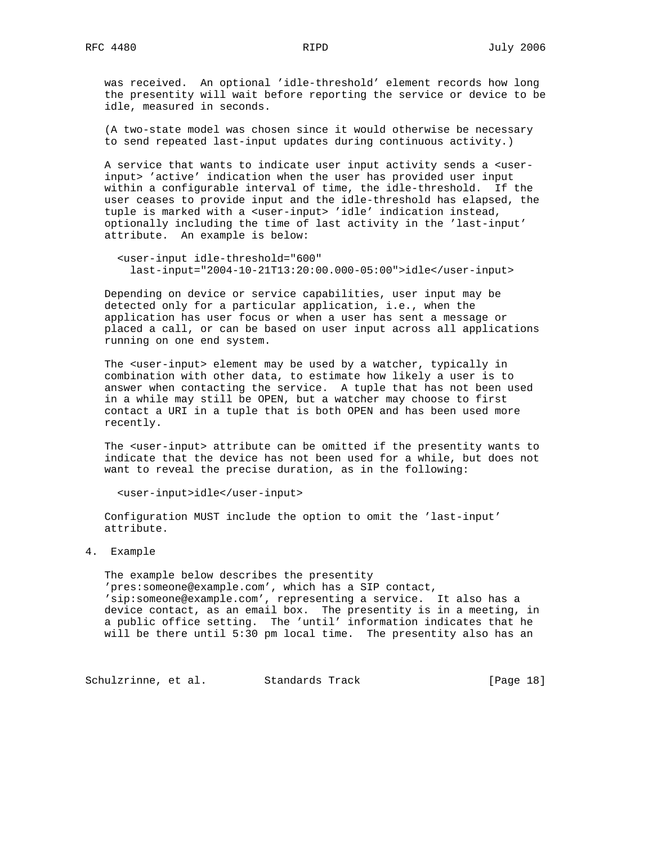was received. An optional 'idle-threshold' element records how long the presentity will wait before reporting the service or device to be idle, measured in seconds.

 (A two-state model was chosen since it would otherwise be necessary to send repeated last-input updates during continuous activity.)

 A service that wants to indicate user input activity sends a <user input> 'active' indication when the user has provided user input within a configurable interval of time, the idle-threshold. If the user ceases to provide input and the idle-threshold has elapsed, the tuple is marked with a <user-input> 'idle' indication instead, optionally including the time of last activity in the 'last-input' attribute. An example is below:

```
 <user-input idle-threshold="600"
  last-input="2004-10-21T13:20:00.000-05:00">idle</user-input>
```
 Depending on device or service capabilities, user input may be detected only for a particular application, i.e., when the application has user focus or when a user has sent a message or placed a call, or can be based on user input across all applications running on one end system.

 The <user-input> element may be used by a watcher, typically in combination with other data, to estimate how likely a user is to answer when contacting the service. A tuple that has not been used in a while may still be OPEN, but a watcher may choose to first contact a URI in a tuple that is both OPEN and has been used more recently.

 The <user-input> attribute can be omitted if the presentity wants to indicate that the device has not been used for a while, but does not want to reveal the precise duration, as in the following:

<user-input>idle</user-input>

 Configuration MUST include the option to omit the 'last-input' attribute.

4. Example

 The example below describes the presentity 'pres:someone@example.com', which has a SIP contact, 'sip:someone@example.com', representing a service. It also has a device contact, as an email box. The presentity is in a meeting, in a public office setting. The 'until' information indicates that he will be there until 5:30 pm local time. The presentity also has an

Schulzrinne, et al. Standards Track [Page 18]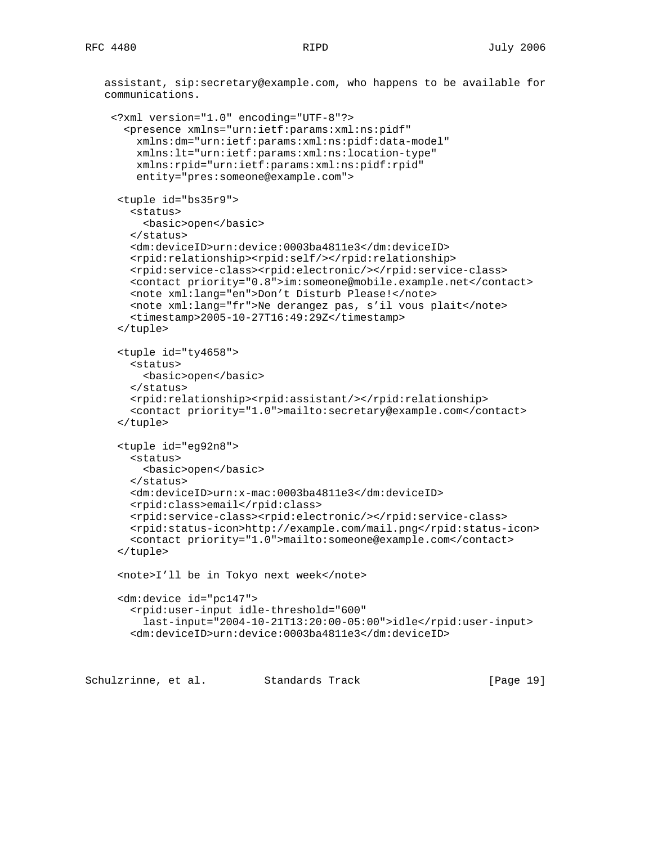assistant, sip:secretary@example.com, who happens to be available for communications.

```
 <?xml version="1.0" encoding="UTF-8"?>
  <presence xmlns="urn:ietf:params:xml:ns:pidf"
   xmlns:dm="urn:ietf:params:xml:ns:pidf:data-model"
    xmlns:lt="urn:ietf:params:xml:ns:location-type"
    xmlns:rpid="urn:ietf:params:xml:ns:pidf:rpid"
    entity="pres:someone@example.com">
 <tuple id="bs35r9">
   <status>
     <basic>open</basic>
   </status>
   <dm:deviceID>urn:device:0003ba4811e3</dm:deviceID>
   <rpid:relationship><rpid:self/></rpid:relationship>
   <rpid:service-class><rpid:electronic/></rpid:service-class>
   <contact priority="0.8">im:someone@mobile.example.net</contact>
   <note xml:lang="en">Don't Disturb Please!</note>
   <note xml:lang="fr">Ne derangez pas, s'il vous plait</note>
   <timestamp>2005-10-27T16:49:29Z</timestamp>
 </tuple>
 <tuple id="ty4658">
   <status>
     <basic>open</basic>
   </status>
   <rpid:relationship><rpid:assistant/></rpid:relationship>
   <contact priority="1.0">mailto:secretary@example.com</contact>
 </tuple>
 <tuple id="eg92n8">
   <status>
     <basic>open</basic>
   </status>
   <dm:deviceID>urn:x-mac:0003ba4811e3</dm:deviceID>
   <rpid:class>email</rpid:class>
   <rpid:service-class><rpid:electronic/></rpid:service-class>
   <rpid:status-icon>http://example.com/mail.png</rpid:status-icon>
   <contact priority="1.0">mailto:someone@example.com</contact>
 </tuple>
 <note>I'll be in Tokyo next week</note>
 <dm:device id="pc147">
   <rpid:user-input idle-threshold="600"
     last-input="2004-10-21T13:20:00-05:00">idle</rpid:user-input>
   <dm:deviceID>urn:device:0003ba4811e3</dm:deviceID>
```
Schulzrinne, et al. Standards Track [Page 19]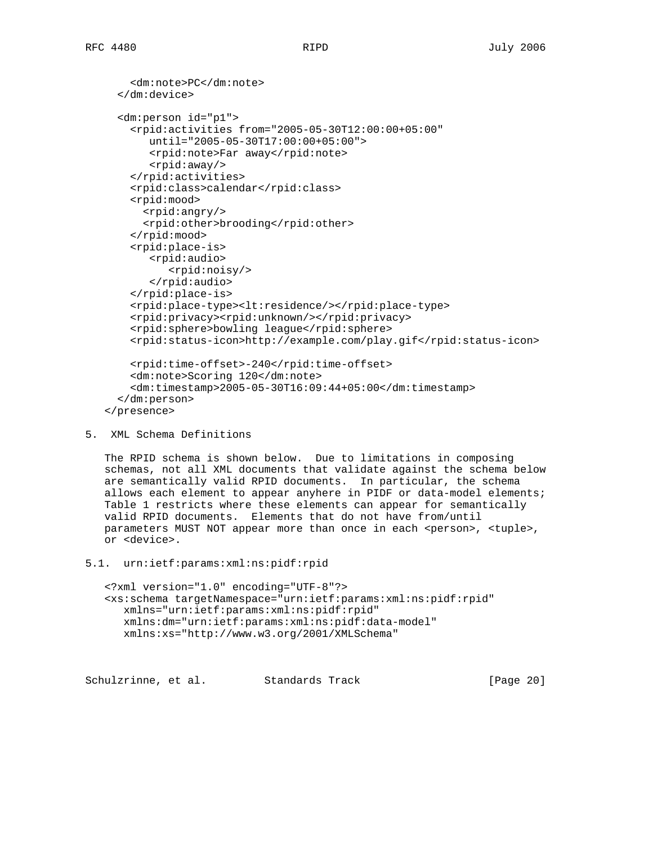```
 <dm:note>PC</dm:note>
  </dm:device>
  <dm:person id="p1">
    <rpid:activities from="2005-05-30T12:00:00+05:00"
       until="2005-05-30T17:00:00+05:00">
       <rpid:note>Far away</rpid:note>
       <rpid:away/>
    </rpid:activities>
    <rpid:class>calendar</rpid:class>
    <rpid:mood>
      <rpid:angry/>
      <rpid:other>brooding</rpid:other>
    </rpid:mood>
    <rpid:place-is>
       <rpid:audio>
          <rpid:noisy/>
       </rpid:audio>
    </rpid:place-is>
    <rpid:place-type><lt:residence/></rpid:place-type>
    <rpid:privacy><rpid:unknown/></rpid:privacy>
    <rpid:sphere>bowling league</rpid:sphere>
    <rpid:status-icon>http://example.com/play.gif</rpid:status-icon>
    <rpid:time-offset>-240</rpid:time-offset>
    <dm:note>Scoring 120</dm:note>
    <dm:timestamp>2005-05-30T16:09:44+05:00</dm:timestamp>
  </dm:person>
</presence>
```

```
5. XML Schema Definitions
```
 The RPID schema is shown below. Due to limitations in composing schemas, not all XML documents that validate against the schema below are semantically valid RPID documents. In particular, the schema allows each element to appear anyhere in PIDF or data-model elements; Table 1 restricts where these elements can appear for semantically valid RPID documents. Elements that do not have from/until parameters MUST NOT appear more than once in each <person>, <tuple>, or <device>.

5.1. urn:ietf:params:xml:ns:pidf:rpid

 <?xml version="1.0" encoding="UTF-8"?> <xs:schema targetNamespace="urn:ietf:params:xml:ns:pidf:rpid" xmlns="urn:ietf:params:xml:ns:pidf:rpid" xmlns:dm="urn:ietf:params:xml:ns:pidf:data-model" xmlns:xs="http://www.w3.org/2001/XMLSchema"

Schulzrinne, et al. Standards Track [Page 20]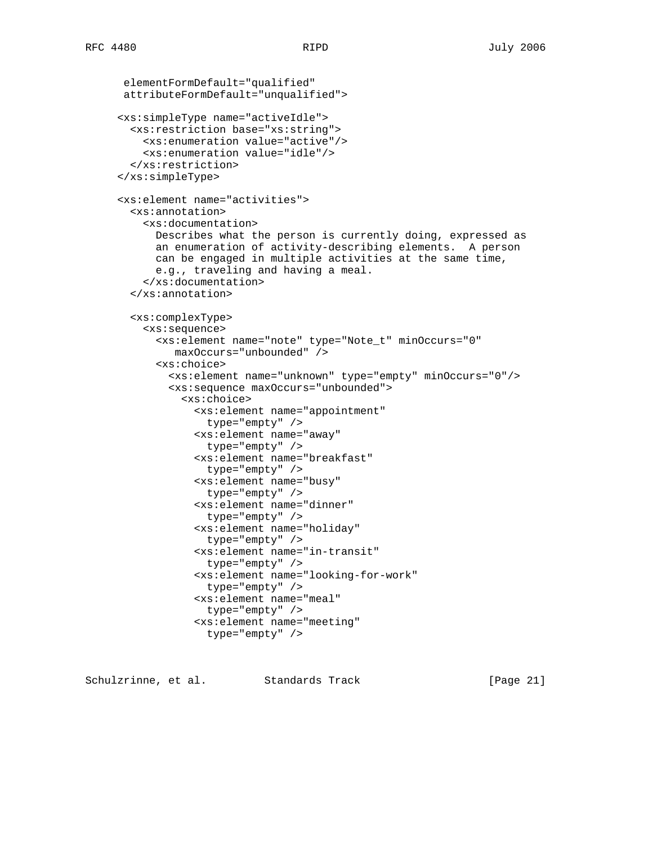```
 elementFormDefault="qualified"
attributeFormDefault="unqualified">
<xs:simpleType name="activeIdle">
  <xs:restriction base="xs:string">
    <xs:enumeration value="active"/>
    <xs:enumeration value="idle"/>
  </xs:restriction>
</xs:simpleType>
<xs:element name="activities">
 <xs:annotation>
    <xs:documentation>
      Describes what the person is currently doing, expressed as
      an enumeration of activity-describing elements. A person
      can be engaged in multiple activities at the same time,
      e.g., traveling and having a meal.
    </xs:documentation>
  </xs:annotation>
  <xs:complexType>
    <xs:sequence>
      <xs:element name="note" type="Note_t" minOccurs="0"
         maxOccurs="unbounded" />
      <xs:choice>
        <xs:element name="unknown" type="empty" minOccurs="0"/>
        <xs:sequence maxOccurs="unbounded">
          <xs:choice>
            <xs:element name="appointment"
              type="empty" />
            <xs:element name="away"
              type="empty" />
            <xs:element name="breakfast"
              type="empty" />
            <xs:element name="busy"
              type="empty" />
            <xs:element name="dinner"
              type="empty" />
            <xs:element name="holiday"
              type="empty" />
            <xs:element name="in-transit"
              type="empty" />
            <xs:element name="looking-for-work"
              type="empty" />
            <xs:element name="meal"
              type="empty" />
            <xs:element name="meeting"
              type="empty" />
```
Schulzrinne, et al. Standards Track [Page 21]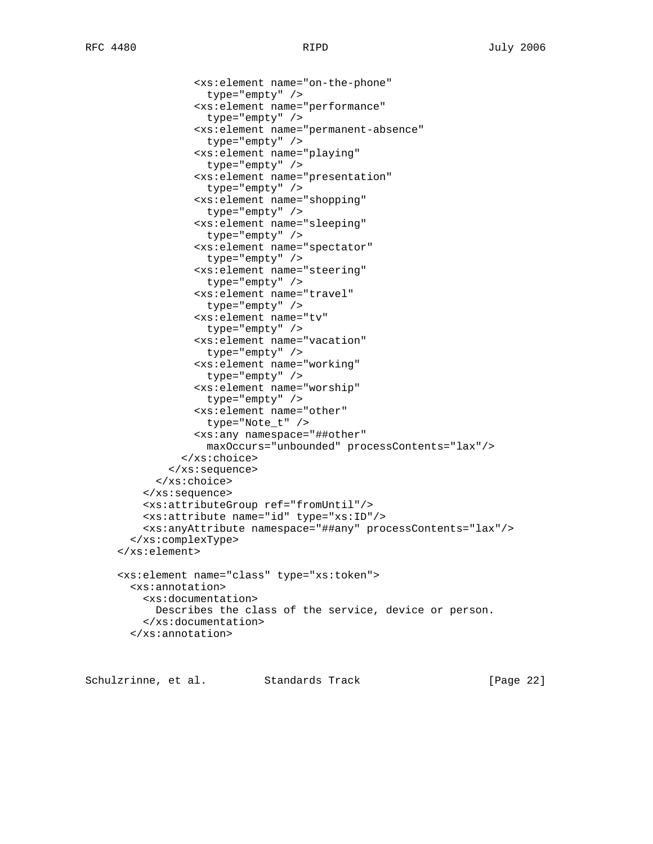<xs:element name="on-the-phone"

 type="empty" /> <xs:element name="performance" type="empty" /> <xs:element name="permanent-absence" type="empty" /> <xs:element name="playing" type="empty" /> <xs:element name="presentation" type="empty" /> <xs:element name="shopping" type="empty" /> <xs:element name="sleeping" type="empty" /> <xs:element name="spectator" type="empty" /> <xs:element name="steering" type="empty" /> <xs:element name="travel" type="empty" /> <xs:element name="tv" type="empty" /> <xs:element name="vacation" type="empty" /> <xs:element name="working" type="empty" /> <xs:element name="worship" type="empty" /> <xs:element name="other" type="Note\_t" /> <xs:any namespace="##other" maxOccurs="unbounded" processContents="lax"/> </xs:choice> </xs:sequence> </xs:choice> </xs:sequence> <xs:attributeGroup ref="fromUntil"/> <xs:attribute name="id" type="xs:ID"/> <xs:anyAttribute namespace="##any" processContents="lax"/> </xs:complexType> </xs:element> <xs:element name="class" type="xs:token"> <xs:annotation> <xs:documentation> Describes the class of the service, device or person. </xs:documentation> </xs:annotation>

Schulzrinne, et al. Standards Track [Page 22]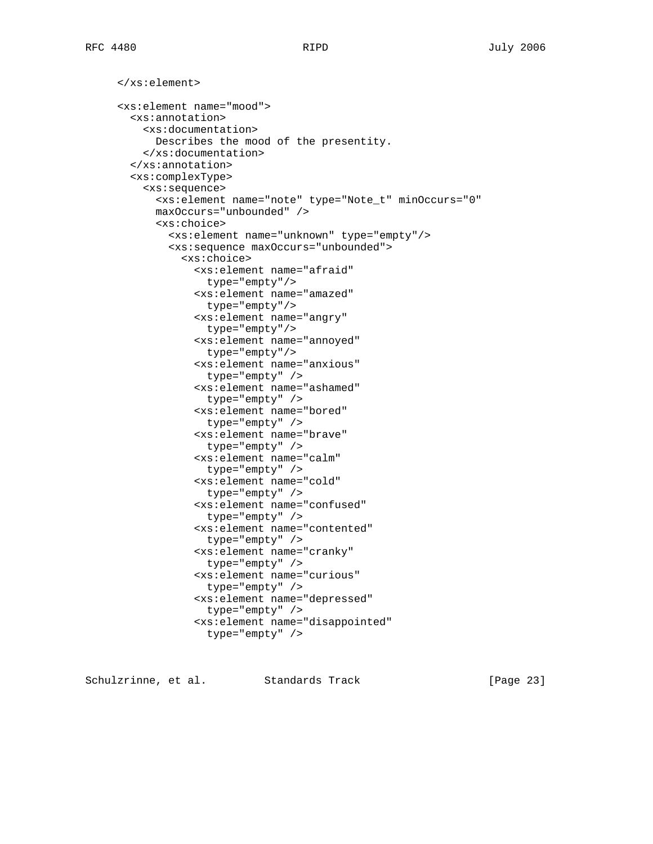</xs:element> <xs:element name="mood"> <xs:annotation> <xs:documentation> Describes the mood of the presentity. </xs:documentation> </xs:annotation> <xs:complexType> <xs:sequence> <xs:element name="note" type="Note\_t" minOccurs="0" maxOccurs="unbounded" /> <xs:choice> <xs:element name="unknown" type="empty"/> <xs:sequence maxOccurs="unbounded"> <xs:choice> <xs:element name="afraid" type="empty"/> <xs:element name="amazed" type="empty"/> <xs:element name="angry" type="empty"/> <xs:element name="annoyed" type="empty"/> <xs:element name="anxious" type="empty" /> <xs:element name="ashamed" type="empty" /> <xs:element name="bored" type="empty" /> <xs:element name="brave" type="empty" /> <xs:element name="calm" type="empty" /> <xs:element name="cold" type="empty" /> <xs:element name="confused" type="empty" /> <xs:element name="contented" type="empty" /> <xs:element name="cranky" type="empty" /> <xs:element name="curious" type="empty" /> <xs:element name="depressed" type="empty" /> <xs:element name="disappointed" type="empty" />

Schulzrinne, et al. Standards Track [Page 23]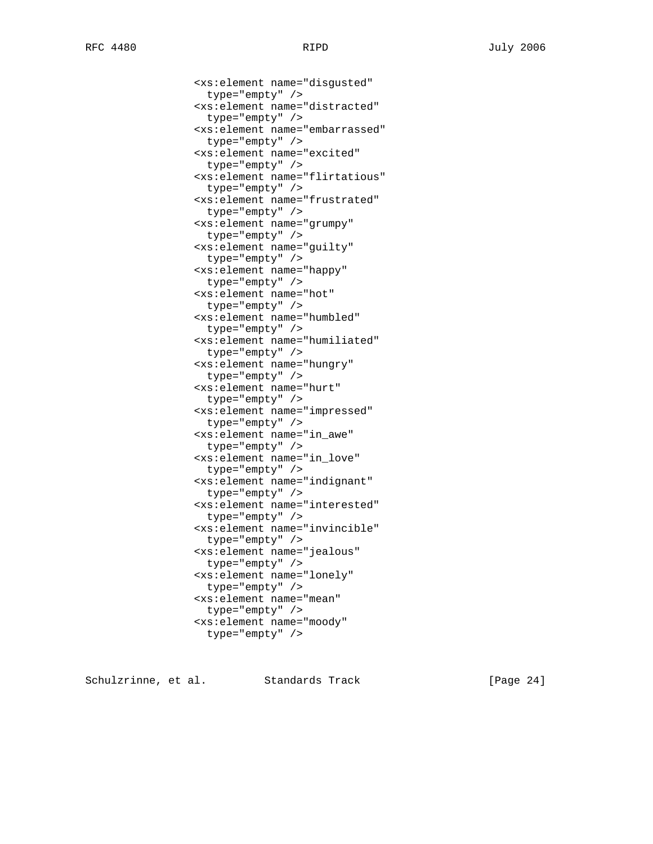<xs:element name="disgusted"

 type="empty" /> <xs:element name="distracted" type="empty" /> <xs:element name="embarrassed" type="empty" /> <xs:element name="excited" type="empty" /> <xs:element name="flirtatious" type="empty" /> <xs:element name="frustrated" type="empty" /> <xs:element name="grumpy" type="empty" /> <xs:element name="guilty" type="empty" /> <xs:element name="happy" type="empty" /> <xs:element name="hot" type="empty" /> <xs:element name="humbled" type="empty" /> <xs:element name="humiliated" type="empty" /> <xs:element name="hungry" type="empty" /> <xs:element name="hurt" type="empty" /> <xs:element name="impressed" type="empty" /> <xs:element name="in\_awe" type="empty" /> <xs:element name="in\_love" type="empty" /> <xs:element name="indignant" type="empty" /> <xs:element name="interested" type="empty" /> <xs:element name="invincible" type="empty" /> <xs:element name="jealous" type="empty" /> <xs:element name="lonely" type="empty" /> <xs:element name="mean" type="empty" /> <xs:element name="moody"

Schulzrinne, et al. Standards Track [Page 24]

type="empty" />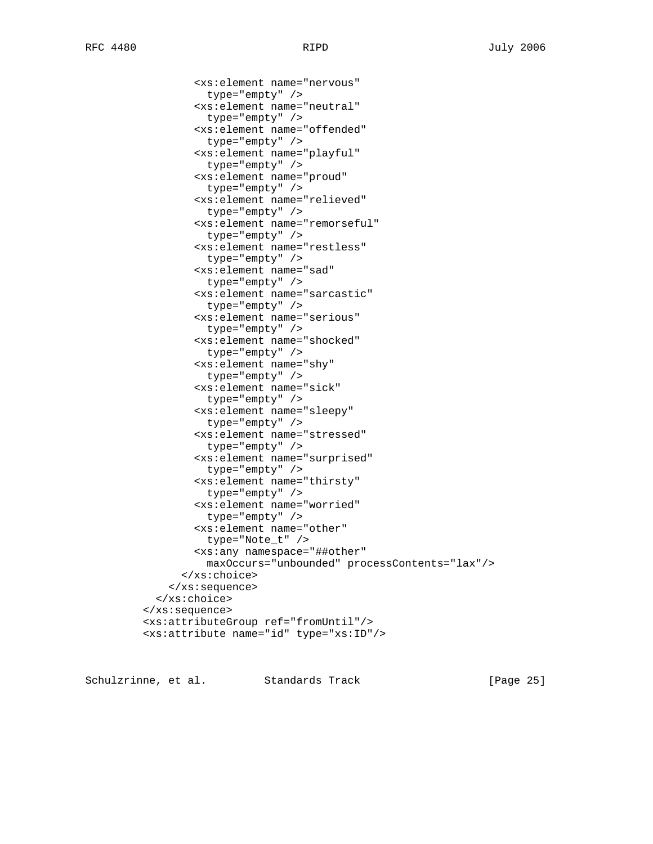Schulzrinne, et al. Standards Track [Page 25]

 <xs:element name="offended" type="empty" /> <xs:element name="playful" type="empty" /> <xs:element name="proud" type="empty" /> <xs:element name="relieved" type="empty" /> <xs:element name="remorseful" type="empty" /> <xs:element name="restless" type="empty" /> <xs:element name="sad" type="empty" /> <xs:element name="sarcastic" type="empty" /> <xs:element name="serious" type="empty" /> <xs:element name="shocked" type="empty" /> <xs:element name="shy" type="empty" /> <xs:element name="sick" type="empty" /> <xs:element name="sleepy" type="empty" /> <xs:element name="stressed" type="empty" /> <xs:element name="surprised" type="empty" /> <xs:element name="thirsty" type="empty" /> <xs:element name="worried" type="empty" /> <xs:element name="other" type="Note\_t" /> <xs:any namespace="##other" maxOccurs="unbounded" processContents="lax"/> </xs:choice> </xs:sequence> </xs:choice> </xs:sequence> <xs:attributeGroup ref="fromUntil"/> <xs:attribute name="id" type="xs:ID"/>

<xs:element name="nervous"

<xs:element name="neutral"

type="empty" />

type="empty" />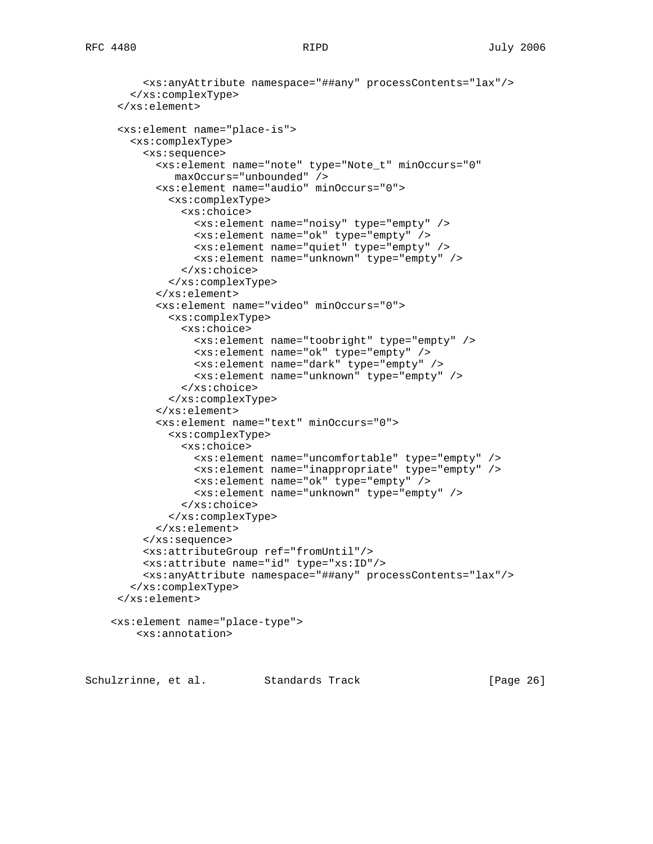```
 <xs:anyAttribute namespace="##any" processContents="lax"/>
   </xs:complexType>
 </xs:element>
 <xs:element name="place-is">
   <xs:complexType>
     <xs:sequence>
       <xs:element name="note" type="Note_t" minOccurs="0"
          maxOccurs="unbounded" />
       <xs:element name="audio" minOccurs="0">
         <xs:complexType>
           <xs:choice>
             <xs:element name="noisy" type="empty" />
             <xs:element name="ok" type="empty" />
             <xs:element name="quiet" type="empty" />
             <xs:element name="unknown" type="empty" />
           </xs:choice>
         </xs:complexType>
       </xs:element>
       <xs:element name="video" minOccurs="0">
         <xs:complexType>
           <xs:choice>
             <xs:element name="toobright" type="empty" />
             <xs:element name="ok" type="empty" />
             <xs:element name="dark" type="empty" />
             <xs:element name="unknown" type="empty" />
           </xs:choice>
         </xs:complexType>
       </xs:element>
       <xs:element name="text" minOccurs="0">
         <xs:complexType>
           <xs:choice>
             <xs:element name="uncomfortable" type="empty" />
             <xs:element name="inappropriate" type="empty" />
             <xs:element name="ok" type="empty" />
             <xs:element name="unknown" type="empty" />
           </xs:choice>
         </xs:complexType>
       </xs:element>
     </xs:sequence>
     <xs:attributeGroup ref="fromUntil"/>
     <xs:attribute name="id" type="xs:ID"/>
     <xs:anyAttribute namespace="##any" processContents="lax"/>
   </xs:complexType>
 </xs:element>
<xs:element name="place-type">
   <xs:annotation>
```
Schulzrinne, et al. Standards Track [Page 26]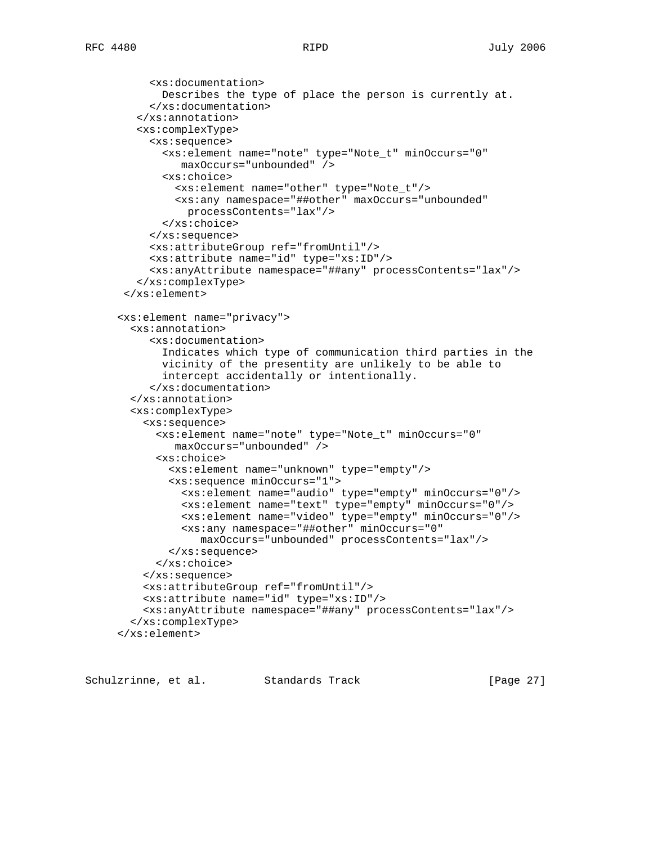```
 <xs:documentation>
      Describes the type of place the person is currently at.
     </xs:documentation>
   </xs:annotation>
   <xs:complexType>
     <xs:sequence>
       <xs:element name="note" type="Note_t" minOccurs="0"
          maxOccurs="unbounded" />
       <xs:choice>
         <xs:element name="other" type="Note_t"/>
         <xs:any namespace="##other" maxOccurs="unbounded"
           processContents="lax"/>
       </xs:choice>
     </xs:sequence>
     <xs:attributeGroup ref="fromUntil"/>
     <xs:attribute name="id" type="xs:ID"/>
     <xs:anyAttribute namespace="##any" processContents="lax"/>
   </xs:complexType>
 </xs:element>
<xs:element name="privacy">
  <xs:annotation>
     <xs:documentation>
       Indicates which type of communication third parties in the
       vicinity of the presentity are unlikely to be able to
       intercept accidentally or intentionally.
     </xs:documentation>
  </xs:annotation>
  <xs:complexType>
    <xs:sequence>
      <xs:element name="note" type="Note_t" minOccurs="0"
         maxOccurs="unbounded" />
      <xs:choice>
        <xs:element name="unknown" type="empty"/>
        <xs:sequence minOccurs="1">
          <xs:element name="audio" type="empty" minOccurs="0"/>
          <xs:element name="text" type="empty" minOccurs="0"/>
          <xs:element name="video" type="empty" minOccurs="0"/>
          <xs:any namespace="##other" minOccurs="0"
             maxOccurs="unbounded" processContents="lax"/>
        </xs:sequence>
      </xs:choice>
    </xs:sequence>
    <xs:attributeGroup ref="fromUntil"/>
    <xs:attribute name="id" type="xs:ID"/>
    <xs:anyAttribute namespace="##any" processContents="lax"/>
  </xs:complexType>
</xs:element>
```
Schulzrinne, et al. Standards Track [Page 27]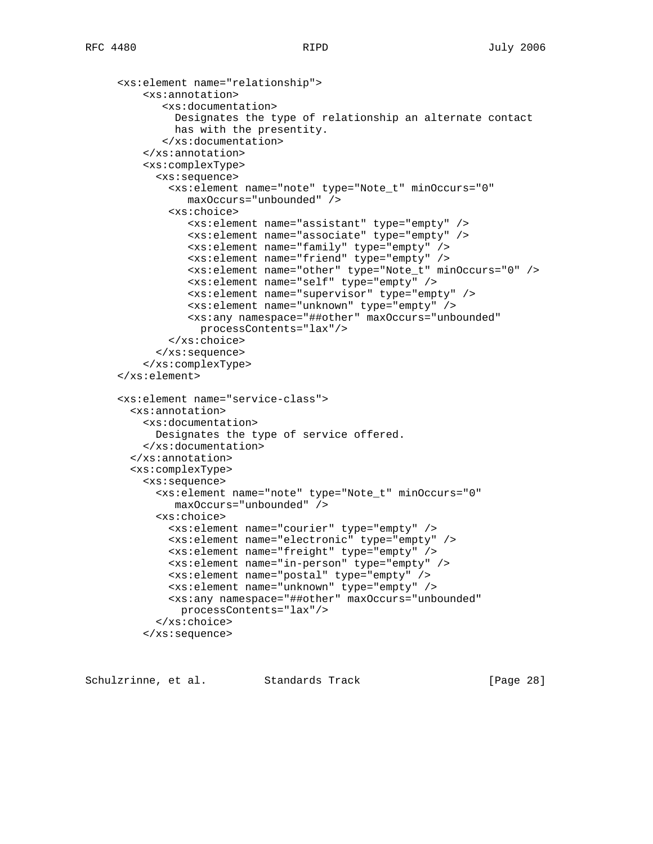```
 <xs:element name="relationship">
    <xs:annotation>
       <xs:documentation>
         Designates the type of relationship an alternate contact
         has with the presentity.
       </xs:documentation>
    </xs:annotation>
    <xs:complexType>
      <xs:sequence>
        <xs:element name="note" type="Note_t" minOccurs="0"
           maxOccurs="unbounded" />
        <xs:choice>
           <xs:element name="assistant" type="empty" />
           <xs:element name="associate" type="empty" />
           <xs:element name="family" type="empty" />
           <xs:element name="friend" type="empty" />
           <xs:element name="other" type="Note_t" minOccurs="0" />
           <xs:element name="self" type="empty" />
           <xs:element name="supervisor" type="empty" />
           <xs:element name="unknown" type="empty" />
           <xs:any namespace="##other" maxOccurs="unbounded"
             processContents="lax"/>
        </xs:choice>
      </xs:sequence>
    </xs:complexType>
</xs:element>
<xs:element name="service-class">
 <xs:annotation>
    <xs:documentation>
     Designates the type of service offered.
    </xs:documentation>
  </xs:annotation>
  <xs:complexType>
    <xs:sequence>
      <xs:element name="note" type="Note_t" minOccurs="0"
         maxOccurs="unbounded" />
      <xs:choice>
        <xs:element name="courier" type="empty" />
        <xs:element name="electronic" type="empty" />
        <xs:element name="freight" type="empty" />
        <xs:element name="in-person" type="empty" />
        <xs:element name="postal" type="empty" />
        <xs:element name="unknown" type="empty" />
        <xs:any namespace="##other" maxOccurs="unbounded"
         processContents="lax"/>
      </xs:choice>
    </xs:sequence>
```
Schulzrinne, et al. Standards Track [Page 28]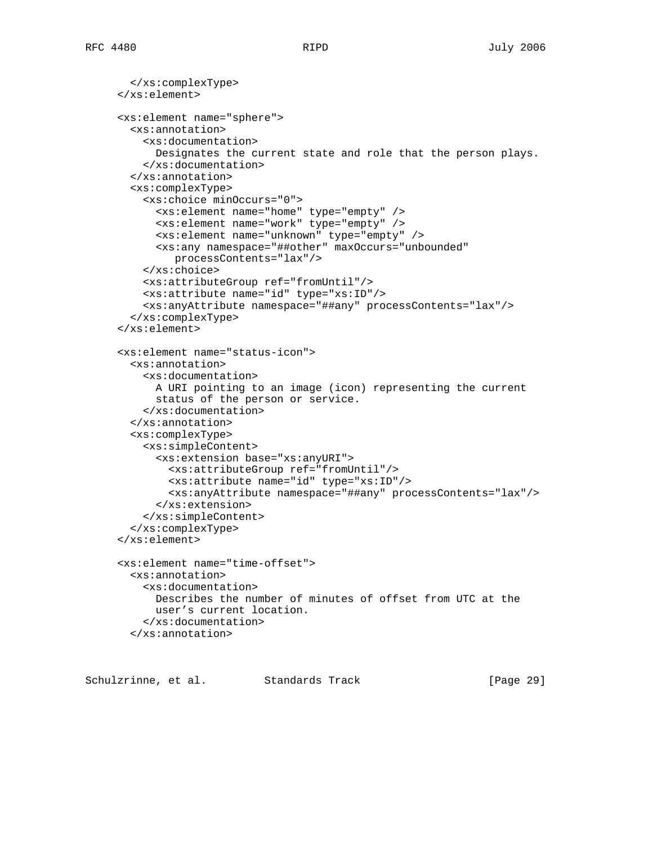```
 </xs:complexType>
</xs:element>
<xs:element name="sphere">
  <xs:annotation>
    <xs:documentation>
      Designates the current state and role that the person plays.
    </xs:documentation>
  </xs:annotation>
  <xs:complexType>
    <xs:choice minOccurs="0">
      <xs:element name="home" type="empty" />
      <xs:element name="work" type="empty" />
      <xs:element name="unknown" type="empty" />
      <xs:any namespace="##other" maxOccurs="unbounded"
         processContents="lax"/>
    </xs:choice>
    <xs:attributeGroup ref="fromUntil"/>
    <xs:attribute name="id" type="xs:ID"/>
    <xs:anyAttribute namespace="##any" processContents="lax"/>
  </xs:complexType>
</xs:element>
<xs:element name="status-icon">
 <xs:annotation>
    <xs:documentation>
      A URI pointing to an image (icon) representing the current
      status of the person or service.
    </xs:documentation>
  </xs:annotation>
  <xs:complexType>
    <xs:simpleContent>
      <xs:extension base="xs:anyURI">
        <xs:attributeGroup ref="fromUntil"/>
        <xs:attribute name="id" type="xs:ID"/>
        <xs:anyAttribute namespace="##any" processContents="lax"/>
      </xs:extension>
    </xs:simpleContent>
  </xs:complexType>
</xs:element>
<xs:element name="time-offset">
  <xs:annotation>
    <xs:documentation>
      Describes the number of minutes of offset from UTC at the
      user's current location.
    </xs:documentation>
  </xs:annotation>
```
Schulzrinne, et al. Standards Track [Page 29]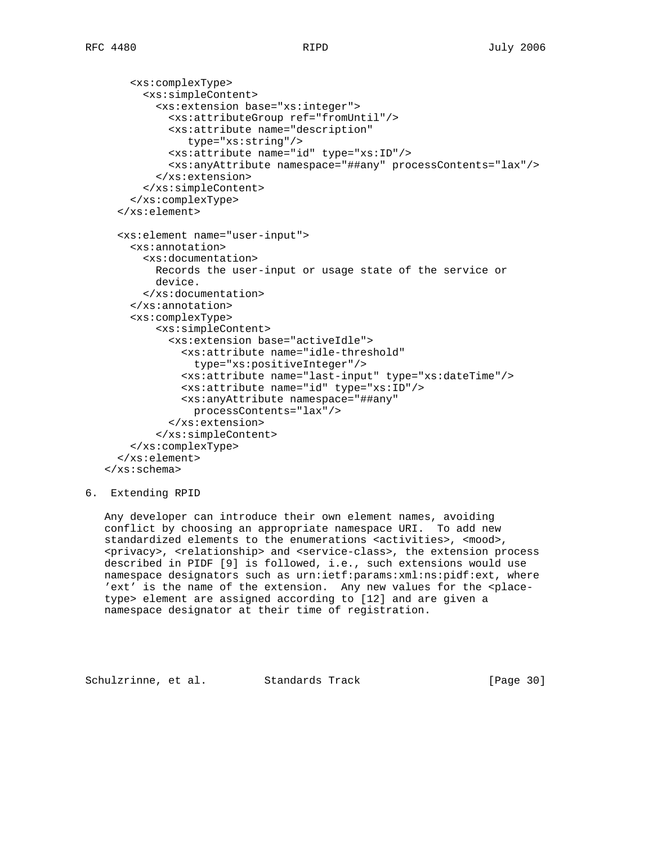```
 <xs:complexType>
      <xs:simpleContent>
        <xs:extension base="xs:integer">
          <xs:attributeGroup ref="fromUntil"/>
          <xs:attribute name="description"
             type="xs:string"/>
          <xs:attribute name="id" type="xs:ID"/>
          <xs:anyAttribute namespace="##any" processContents="lax"/>
        </xs:extension>
      </xs:simpleContent>
    </xs:complexType>
  </xs:element>
  <xs:element name="user-input">
    <xs:annotation>
      <xs:documentation>
        Records the user-input or usage state of the service or
        device.
      </xs:documentation>
    </xs:annotation>
    <xs:complexType>
        <xs:simpleContent>
          <xs:extension base="activeIdle">
            <xs:attribute name="idle-threshold"
              type="xs:positiveInteger"/>
            <xs:attribute name="last-input" type="xs:dateTime"/>
            <xs:attribute name="id" type="xs:ID"/>
            <xs:anyAttribute namespace="##any"
              processContents="lax"/>
          </xs:extension>
        </xs:simpleContent>
    </xs:complexType>
  </xs:element>
</xs:schema>
```

```
6. Extending RPID
```
 Any developer can introduce their own element names, avoiding conflict by choosing an appropriate namespace URI. To add new standardized elements to the enumerations <activities>, <mood>, <privacy>, <relationship> and <service-class>, the extension process described in PIDF [9] is followed, i.e., such extensions would use namespace designators such as urn:ietf:params:xml:ns:pidf:ext, where 'ext' is the name of the extension. Any new values for the <place type> element are assigned according to [12] and are given a namespace designator at their time of registration.

Schulzrinne, et al. Standards Track [Page 30]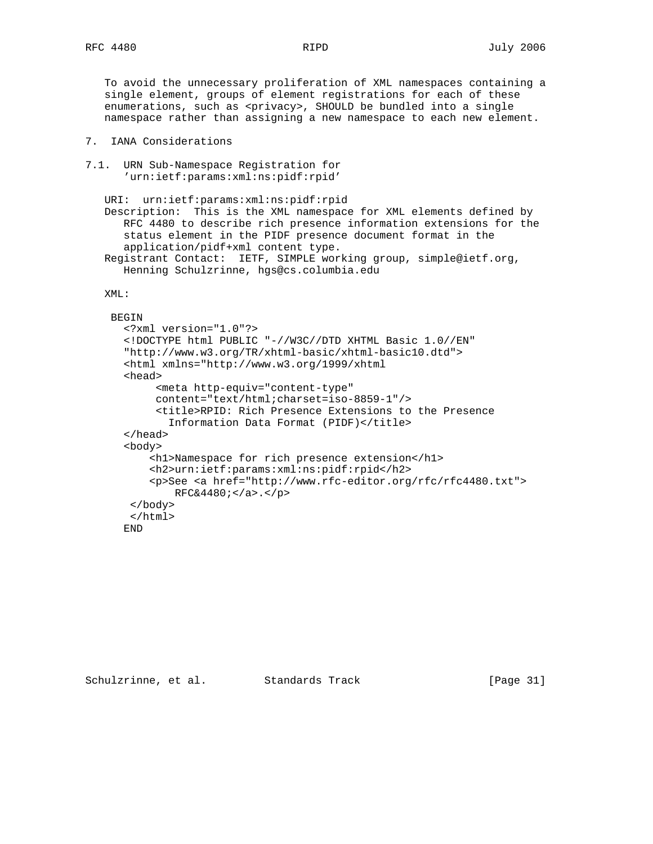To avoid the unnecessary proliferation of XML namespaces containing a single element, groups of element registrations for each of these enumerations, such as <privacy>, SHOULD be bundled into a single namespace rather than assigning a new namespace to each new element.

## 7. IANA Considerations

7.1. URN Sub-Namespace Registration for 'urn:ietf:params:xml:ns:pidf:rpid'

 URI: urn:ietf:params:xml:ns:pidf:rpid Description: This is the XML namespace for XML elements defined by RFC 4480 to describe rich presence information extensions for the status element in the PIDF presence document format in the application/pidf+xml content type. Registrant Contact: IETF, SIMPLE working group, simple@ietf.org,

Henning Schulzrinne, hgs@cs.columbia.edu

# XML:

#### **BEGIN**

```
 <?xml version="1.0"?>
<!DOCTYPE html PUBLIC "-//W3C//DTD XHTML Basic 1.0//EN"
"http://www.w3.org/TR/xhtml-basic/xhtml-basic10.dtd">
<html xmlns="http://www.w3.org/1999/xhtml
<head>
     <meta http-equiv="content-type"
     content="text/html;charset=iso-8859-1"/>
     <title>RPID: Rich Presence Extensions to the Presence
      Information Data Format (PIDF)</title>
</head>
<body>
    <h1>Namespace for rich presence extension</h1>
    <h2>urn:ietf:params:xml:ns:pidf:rpid</h2>
    <p>See <a href="http://www.rfc-editor.org/rfc/rfc4480.txt">
      RFC&4480; <a><</a> </body>
 </html>
END
```
Schulzrinne, et al. Standards Track [Page 31]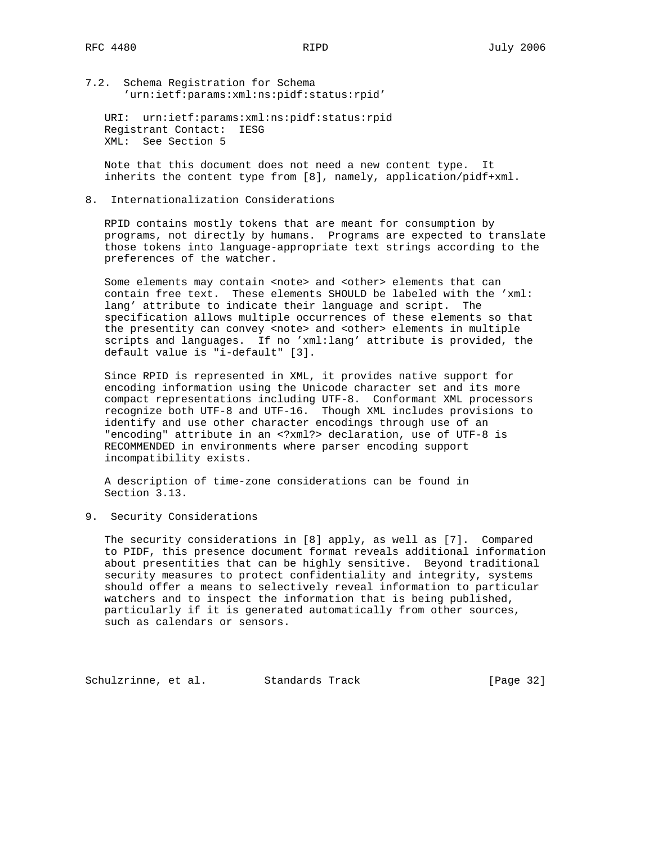7.2. Schema Registration for Schema 'urn:ietf:params:xml:ns:pidf:status:rpid'

 URI: urn:ietf:params:xml:ns:pidf:status:rpid Registrant Contact: IESG XML: See Section 5

 Note that this document does not need a new content type. It inherits the content type from [8], namely, application/pidf+xml.

8. Internationalization Considerations

 RPID contains mostly tokens that are meant for consumption by programs, not directly by humans. Programs are expected to translate those tokens into language-appropriate text strings according to the preferences of the watcher.

Some elements may contain <note> and <other> elements that can contain free text. These elements SHOULD be labeled with the 'xml: lang' attribute to indicate their language and script. The specification allows multiple occurrences of these elements so that the presentity can convey <note> and <other> elements in multiple scripts and languages. If no 'xml:lang' attribute is provided, the default value is "i-default" [3].

 Since RPID is represented in XML, it provides native support for encoding information using the Unicode character set and its more compact representations including UTF-8. Conformant XML processors recognize both UTF-8 and UTF-16. Though XML includes provisions to identify and use other character encodings through use of an "encoding" attribute in an <?xml?> declaration, use of UTF-8 is RECOMMENDED in environments where parser encoding support incompatibility exists.

 A description of time-zone considerations can be found in Section 3.13.

9. Security Considerations

 The security considerations in [8] apply, as well as [7]. Compared to PIDF, this presence document format reveals additional information about presentities that can be highly sensitive. Beyond traditional security measures to protect confidentiality and integrity, systems should offer a means to selectively reveal information to particular watchers and to inspect the information that is being published, particularly if it is generated automatically from other sources, such as calendars or sensors.

Schulzrinne, et al. Standards Track [Page 32]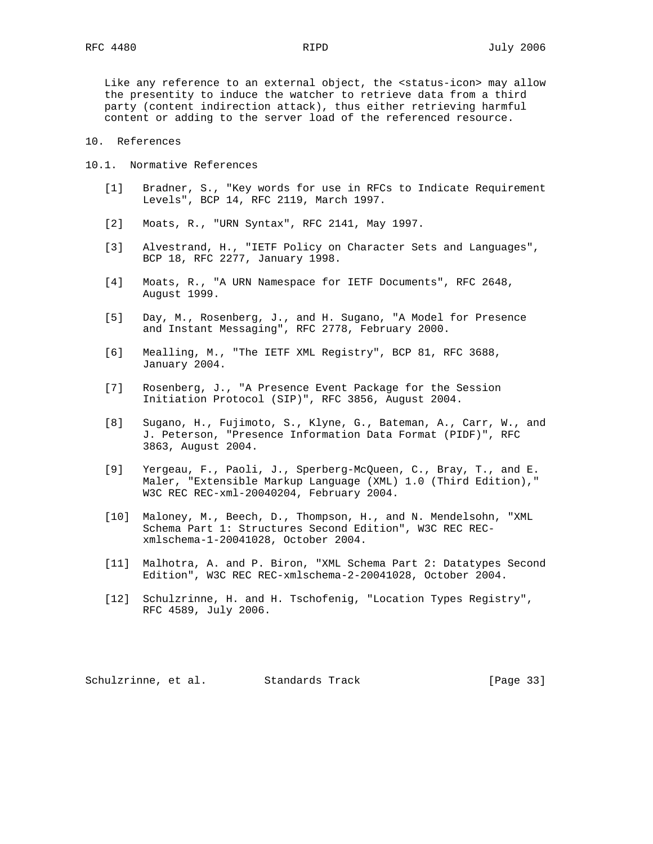Like any reference to an external object, the <status-icon> may allow the presentity to induce the watcher to retrieve data from a third party (content indirection attack), thus either retrieving harmful content or adding to the server load of the referenced resource.

- 10. References
- 10.1. Normative References
	- [1] Bradner, S., "Key words for use in RFCs to Indicate Requirement Levels", BCP 14, RFC 2119, March 1997.
	- [2] Moats, R., "URN Syntax", RFC 2141, May 1997.
	- [3] Alvestrand, H., "IETF Policy on Character Sets and Languages", BCP 18, RFC 2277, January 1998.
	- [4] Moats, R., "A URN Namespace for IETF Documents", RFC 2648, August 1999.
	- [5] Day, M., Rosenberg, J., and H. Sugano, "A Model for Presence and Instant Messaging", RFC 2778, February 2000.
	- [6] Mealling, M., "The IETF XML Registry", BCP 81, RFC 3688, January 2004.
	- [7] Rosenberg, J., "A Presence Event Package for the Session Initiation Protocol (SIP)", RFC 3856, August 2004.
	- [8] Sugano, H., Fujimoto, S., Klyne, G., Bateman, A., Carr, W., and J. Peterson, "Presence Information Data Format (PIDF)", RFC 3863, August 2004.
	- [9] Yergeau, F., Paoli, J., Sperberg-McQueen, C., Bray, T., and E. Maler, "Extensible Markup Language (XML) 1.0 (Third Edition)," W3C REC REC-xml-20040204, February 2004.
	- [10] Maloney, M., Beech, D., Thompson, H., and N. Mendelsohn, "XML Schema Part 1: Structures Second Edition", W3C REC REC xmlschema-1-20041028, October 2004.
	- [11] Malhotra, A. and P. Biron, "XML Schema Part 2: Datatypes Second Edition", W3C REC REC-xmlschema-2-20041028, October 2004.
	- [12] Schulzrinne, H. and H. Tschofenig, "Location Types Registry", RFC 4589, July 2006.

Schulzrinne, et al. Standards Track [Page 33]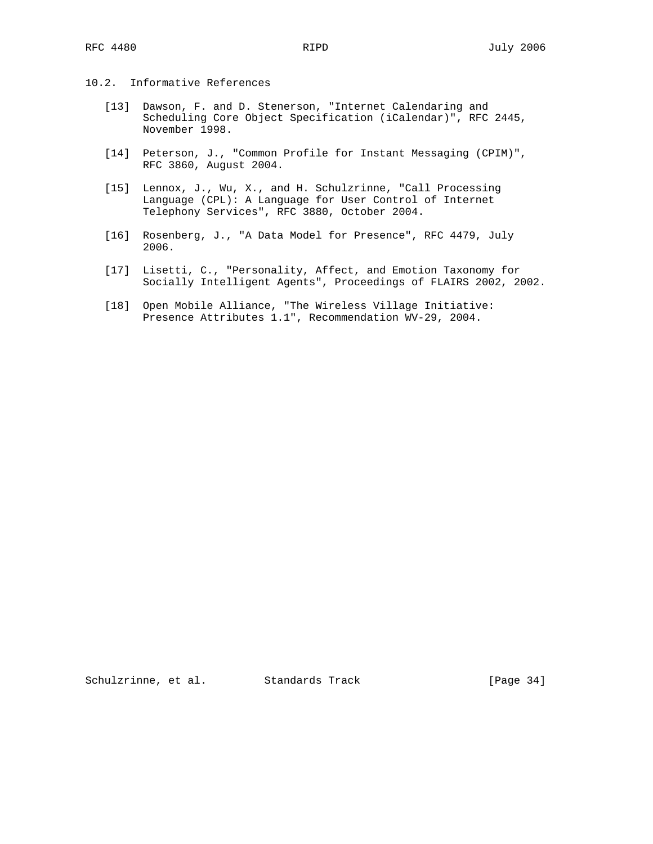# 10.2. Informative References

- [13] Dawson, F. and D. Stenerson, "Internet Calendaring and Scheduling Core Object Specification (iCalendar)", RFC 2445, November 1998.
- [14] Peterson, J., "Common Profile for Instant Messaging (CPIM)", RFC 3860, August 2004.
- [15] Lennox, J., Wu, X., and H. Schulzrinne, "Call Processing Language (CPL): A Language for User Control of Internet Telephony Services", RFC 3880, October 2004.
- [16] Rosenberg, J., "A Data Model for Presence", RFC 4479, July 2006.
- [17] Lisetti, C., "Personality, Affect, and Emotion Taxonomy for Socially Intelligent Agents", Proceedings of FLAIRS 2002, 2002.
- [18] Open Mobile Alliance, "The Wireless Village Initiative: Presence Attributes 1.1", Recommendation WV-29, 2004.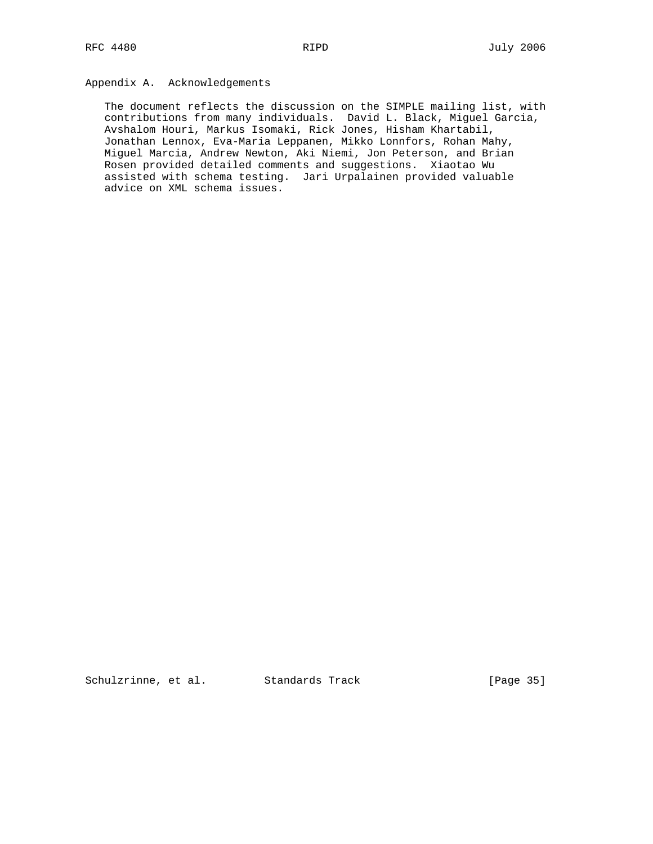# Appendix A. Acknowledgements

 The document reflects the discussion on the SIMPLE mailing list, with contributions from many individuals. David L. Black, Miguel Garcia, Avshalom Houri, Markus Isomaki, Rick Jones, Hisham Khartabil, Jonathan Lennox, Eva-Maria Leppanen, Mikko Lonnfors, Rohan Mahy, Miguel Marcia, Andrew Newton, Aki Niemi, Jon Peterson, and Brian Rosen provided detailed comments and suggestions. Xiaotao Wu assisted with schema testing. Jari Urpalainen provided valuable advice on XML schema issues.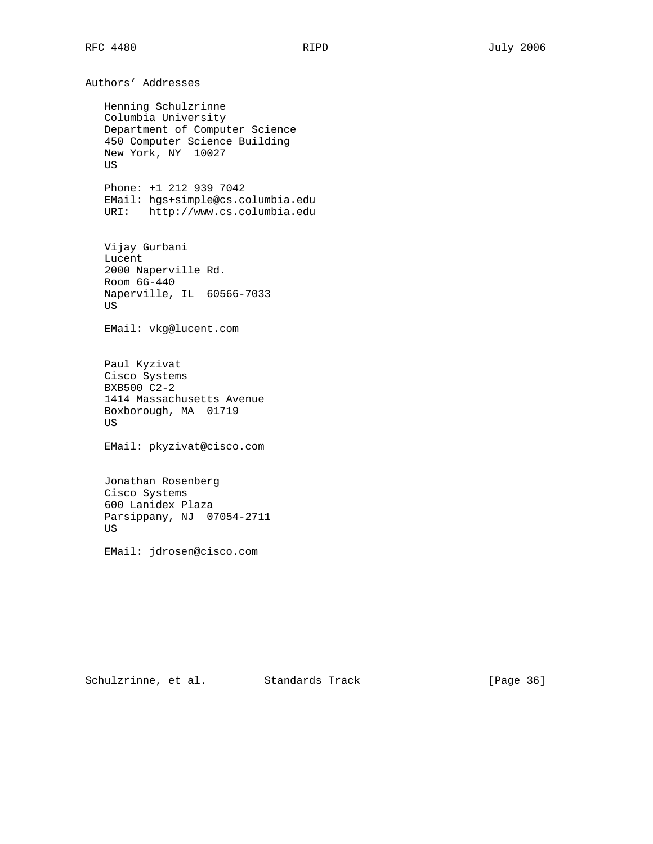Authors' Addresses Henning Schulzrinne Columbia University Department of Computer Science 450 Computer Science Building New York, NY 10027 US Phone: +1 212 939 7042 EMail: hgs+simple@cs.columbia.edu URI: http://www.cs.columbia.edu Vijay Gurbani Lucent 2000 Naperville Rd. Room 6G-440 Naperville, IL 60566-7033 US EMail: vkg@lucent.com Paul Kyzivat Cisco Systems BXB500 C2-2 1414 Massachusetts Avenue Boxborough, MA 01719 US EMail: pkyzivat@cisco.com Jonathan Rosenberg Cisco Systems 600 Lanidex Plaza Parsippany, NJ 07054-2711

EMail: jdrosen@cisco.com

US

Schulzrinne, et al. Standards Track [Page 36]